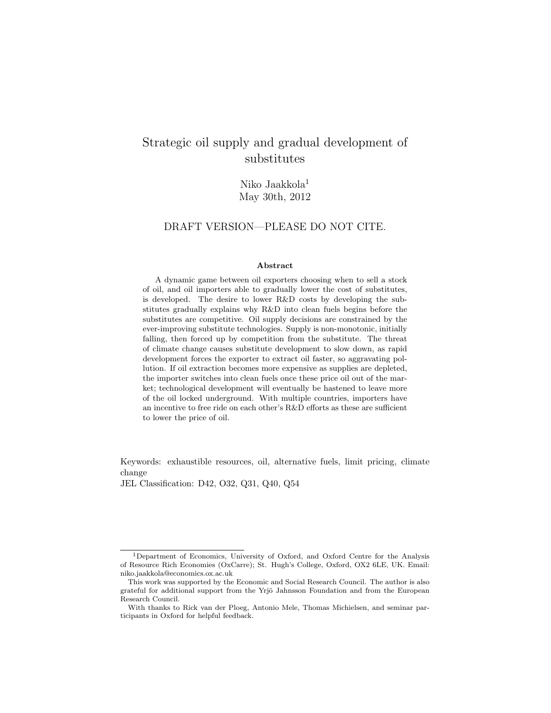## Strategic oil supply and gradual development of substitutes

Niko Jaakkola<sup>1</sup> May 30th, 2012

#### DRAFT VERSION—PLEASE DO NOT CITE.

#### Abstract

A dynamic game between oil exporters choosing when to sell a stock of oil, and oil importers able to gradually lower the cost of substitutes, is developed. The desire to lower R&D costs by developing the substitutes gradually explains why R&D into clean fuels begins before the substitutes are competitive. Oil supply decisions are constrained by the ever-improving substitute technologies. Supply is non-monotonic, initially falling, then forced up by competition from the substitute. The threat of climate change causes substitute development to slow down, as rapid development forces the exporter to extract oil faster, so aggravating pollution. If oil extraction becomes more expensive as supplies are depleted, the importer switches into clean fuels once these price oil out of the market; technological development will eventually be hastened to leave more of the oil locked underground. With multiple countries, importers have an incentive to free ride on each other's R&D efforts as these are sufficient to lower the price of oil.

Keywords: exhaustible resources, oil, alternative fuels, limit pricing, climate change

JEL Classification: D42, O32, Q31, Q40, Q54

<sup>1</sup>Department of Economics, University of Oxford, and Oxford Centre for the Analysis of Resource Rich Economies (OxCarre); St. Hugh's College, Oxford, OX2 6LE, UK. Email: niko.jaakkola@economics.ox.ac.uk

This work was supported by the Economic and Social Research Council. The author is also grateful for additional support from the Yrjö Jahnsson Foundation and from the European Research Council.

With thanks to Rick van der Ploeg, Antonio Mele, Thomas Michielsen, and seminar participants in Oxford for helpful feedback.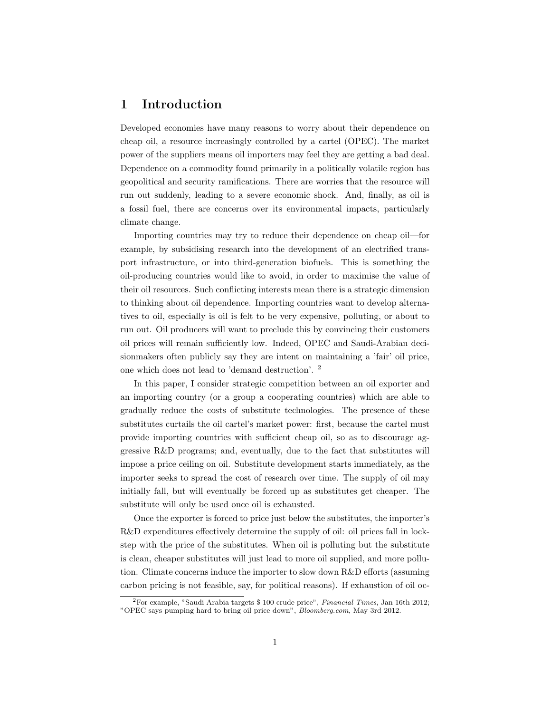## 1 Introduction

Developed economies have many reasons to worry about their dependence on cheap oil, a resource increasingly controlled by a cartel (OPEC). The market power of the suppliers means oil importers may feel they are getting a bad deal. Dependence on a commodity found primarily in a politically volatile region has geopolitical and security ramifications. There are worries that the resource will run out suddenly, leading to a severe economic shock. And, finally, as oil is a fossil fuel, there are concerns over its environmental impacts, particularly climate change.

Importing countries may try to reduce their dependence on cheap oil—for example, by subsidising research into the development of an electrified transport infrastructure, or into third-generation biofuels. This is something the oil-producing countries would like to avoid, in order to maximise the value of their oil resources. Such conflicting interests mean there is a strategic dimension to thinking about oil dependence. Importing countries want to develop alternatives to oil, especially is oil is felt to be very expensive, polluting, or about to run out. Oil producers will want to preclude this by convincing their customers oil prices will remain sufficiently low. Indeed, OPEC and Saudi-Arabian decisionmakers often publicly say they are intent on maintaining a 'fair' oil price, one which does not lead to 'demand destruction'. <sup>2</sup>

In this paper, I consider strategic competition between an oil exporter and an importing country (or a group a cooperating countries) which are able to gradually reduce the costs of substitute technologies. The presence of these substitutes curtails the oil cartel's market power: first, because the cartel must provide importing countries with sufficient cheap oil, so as to discourage aggressive R&D programs; and, eventually, due to the fact that substitutes will impose a price ceiling on oil. Substitute development starts immediately, as the importer seeks to spread the cost of research over time. The supply of oil may initially fall, but will eventually be forced up as substitutes get cheaper. The substitute will only be used once oil is exhausted.

Once the exporter is forced to price just below the substitutes, the importer's R&D expenditures effectively determine the supply of oil: oil prices fall in lockstep with the price of the substitutes. When oil is polluting but the substitute is clean, cheaper substitutes will just lead to more oil supplied, and more pollution. Climate concerns induce the importer to slow down R&D efforts (assuming carbon pricing is not feasible, say, for political reasons). If exhaustion of oil oc-

<sup>2</sup>For example, "Saudi Arabia targets \$ 100 crude price", Financial Times, Jan 16th 2012; "OPEC says pumping hard to bring oil price down", Bloomberg.com, May 3rd 2012.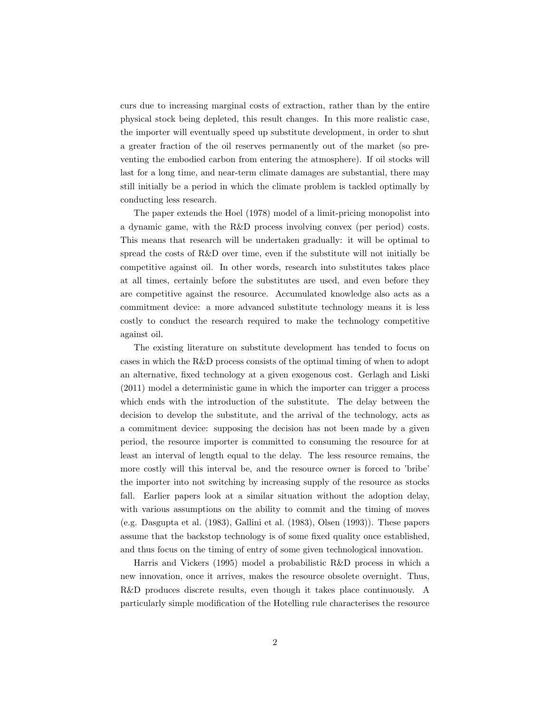curs due to increasing marginal costs of extraction, rather than by the entire physical stock being depleted, this result changes. In this more realistic case, the importer will eventually speed up substitute development, in order to shut a greater fraction of the oil reserves permanently out of the market (so preventing the embodied carbon from entering the atmosphere). If oil stocks will last for a long time, and near-term climate damages are substantial, there may still initially be a period in which the climate problem is tackled optimally by conducting less research.

The paper extends the Hoel (1978) model of a limit-pricing monopolist into a dynamic game, with the R&D process involving convex (per period) costs. This means that research will be undertaken gradually: it will be optimal to spread the costs of R&D over time, even if the substitute will not initially be competitive against oil. In other words, research into substitutes takes place at all times, certainly before the substitutes are used, and even before they are competitive against the resource. Accumulated knowledge also acts as a commitment device: a more advanced substitute technology means it is less costly to conduct the research required to make the technology competitive against oil.

The existing literature on substitute development has tended to focus on cases in which the R&D process consists of the optimal timing of when to adopt an alternative, fixed technology at a given exogenous cost. Gerlagh and Liski (2011) model a deterministic game in which the importer can trigger a process which ends with the introduction of the substitute. The delay between the decision to develop the substitute, and the arrival of the technology, acts as a commitment device: supposing the decision has not been made by a given period, the resource importer is committed to consuming the resource for at least an interval of length equal to the delay. The less resource remains, the more costly will this interval be, and the resource owner is forced to 'bribe' the importer into not switching by increasing supply of the resource as stocks fall. Earlier papers look at a similar situation without the adoption delay, with various assumptions on the ability to commit and the timing of moves (e.g. Dasgupta et al. (1983), Gallini et al. (1983), Olsen (1993)). These papers assume that the backstop technology is of some fixed quality once established, and thus focus on the timing of entry of some given technological innovation.

Harris and Vickers (1995) model a probabilistic R&D process in which a new innovation, once it arrives, makes the resource obsolete overnight. Thus, R&D produces discrete results, even though it takes place continuously. A particularly simple modification of the Hotelling rule characterises the resource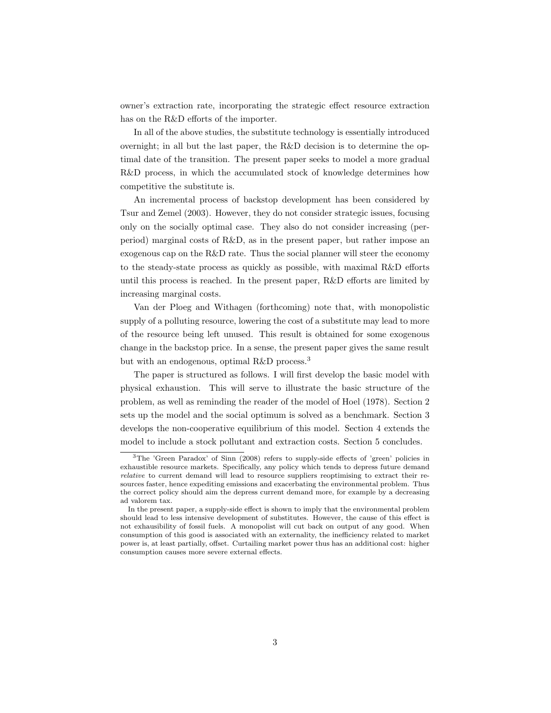owner's extraction rate, incorporating the strategic effect resource extraction has on the R&D efforts of the importer.

In all of the above studies, the substitute technology is essentially introduced overnight; in all but the last paper, the R&D decision is to determine the optimal date of the transition. The present paper seeks to model a more gradual R&D process, in which the accumulated stock of knowledge determines how competitive the substitute is.

An incremental process of backstop development has been considered by Tsur and Zemel (2003). However, they do not consider strategic issues, focusing only on the socially optimal case. They also do not consider increasing (perperiod) marginal costs of R&D, as in the present paper, but rather impose an exogenous cap on the R&D rate. Thus the social planner will steer the economy to the steady-state process as quickly as possible, with maximal R&D efforts until this process is reached. In the present paper, R&D efforts are limited by increasing marginal costs.

Van der Ploeg and Withagen (forthcoming) note that, with monopolistic supply of a polluting resource, lowering the cost of a substitute may lead to more of the resource being left unused. This result is obtained for some exogenous change in the backstop price. In a sense, the present paper gives the same result but with an endogenous, optimal R&D process.<sup>3</sup>

The paper is structured as follows. I will first develop the basic model with physical exhaustion. This will serve to illustrate the basic structure of the problem, as well as reminding the reader of the model of Hoel (1978). Section 2 sets up the model and the social optimum is solved as a benchmark. Section 3 develops the non-cooperative equilibrium of this model. Section 4 extends the model to include a stock pollutant and extraction costs. Section 5 concludes.

<sup>&</sup>lt;sup>3</sup>The 'Green Paradox' of Sinn (2008) refers to supply-side effects of 'green' policies in exhaustible resource markets. Specifically, any policy which tends to depress future demand relative to current demand will lead to resource suppliers reoptimising to extract their resources faster, hence expediting emissions and exacerbating the environmental problem. Thus the correct policy should aim the depress current demand more, for example by a decreasing ad valorem tax.

In the present paper, a supply-side effect is shown to imply that the environmental problem should lead to less intensive development of substitutes. However, the cause of this effect is not exhausibility of fossil fuels. A monopolist will cut back on output of any good. When consumption of this good is associated with an externality, the inefficiency related to market power is, at least partially, offset. Curtailing market power thus has an additional cost: higher consumption causes more severe external effects.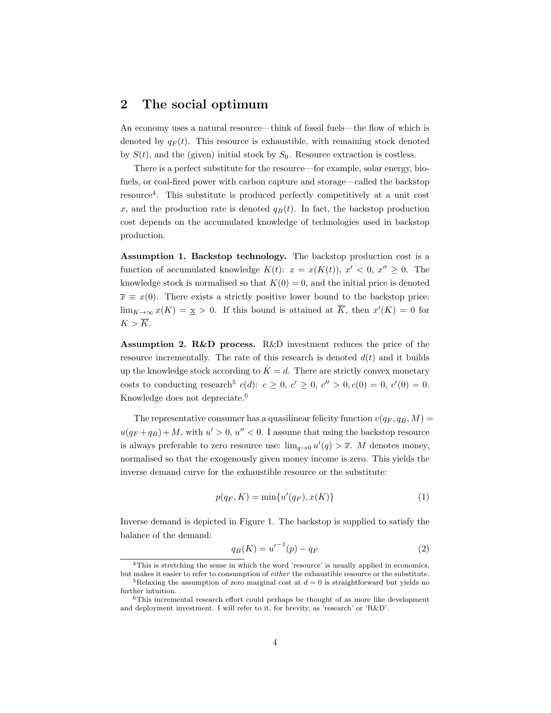#### 2 The social optimum

An economy uses a natural resource—think of fossil fuels—the flow of which is denoted by  $q_F(t)$ . This resource is exhaustible, with remaining stock denoted by  $S(t)$ , and the (given) initial stock by  $S_0$ . Resource extraction is costless.

There is a perfect substitute for the resource—for example, solar energy, biofuels, or coal-fired power with carbon capture and storage—called the backstop resource<sup>4</sup> . This substitute is produced perfectly competitively at a unit cost x, and the production rate is denoted  $q_B(t)$ . In fact, the backstop production cost depends on the accumulated knowledge of technologies used in backstop production.

Assumption 1. Backstop technology. The backstop production cost is a function of accumulated knowledge  $K(t)$ :  $x = x(K(t))$ ,  $x' < 0$ ,  $x'' \ge 0$ . The knowledge stock is normalised so that  $K(0) = 0$ , and the initial price is denoted  $\overline{x} \equiv x(0)$ . There exists a strictly positive lower bound to the backstop price:  $\lim_{K\to\infty} x(K) = \underline{x} > 0$ . If this bound is attained at  $\overline{K}$ , then  $x'(K) = 0$  for  $K > \overline{K}$ .

Assumption 2. R&D process. R&D investment reduces the price of the resource incrementally. The rate of this research is denoted  $d(t)$  and it builds up the knowledge stock according to  $\dot{K} = d$ . There are strictly convex monetary costs to conducting research<sup>5</sup>  $c(d)$ :  $c \ge 0$ ,  $c' \ge 0$ ,  $c'' > 0$ ,  $c(0) = 0$ ,  $c'(0) = 0$ . Knowledge does not depreciate.<sup>6</sup>

The representative consumer has a quasilinear felicity function  $v(q_F, q_B, M) =$  $u(q_F+q_B)+M$ , with  $u' > 0$ ,  $u'' < 0$ . I assume that using the backstop resource is always preferable to zero resource use:  $\lim_{q\to 0} u'(q) > \overline{x}$ . M denotes money, normalised so that the exogenously given money income is zero. This yields the inverse demand curve for the exhaustible resource or the substitute:

$$
p(q_F, K) = \min\{u'(q_F), x(K)\}\tag{1}
$$

Inverse demand is depicted in Figure 1. The backstop is supplied to satisfy the balance of the demand:

$$
q_B(K) = {u'}^{-1}(p) - q_F
$$
 (2)

<sup>4</sup>This is stretching the sense in which the word 'resource' is usually applied in economics,

but makes it easier to refer to consumption of either the exhaustible resource or the substitute. <sup>5</sup>Relaxing the assumption of zero marginal cost at  $d = 0$  is straightforward but yields no further intuition.

 $^6\mathrm{This}\,$  incremental research effort could perhaps be thought of as more like development and deployment investment. I will refer to it, for brevity, as 'research' or 'R&D'.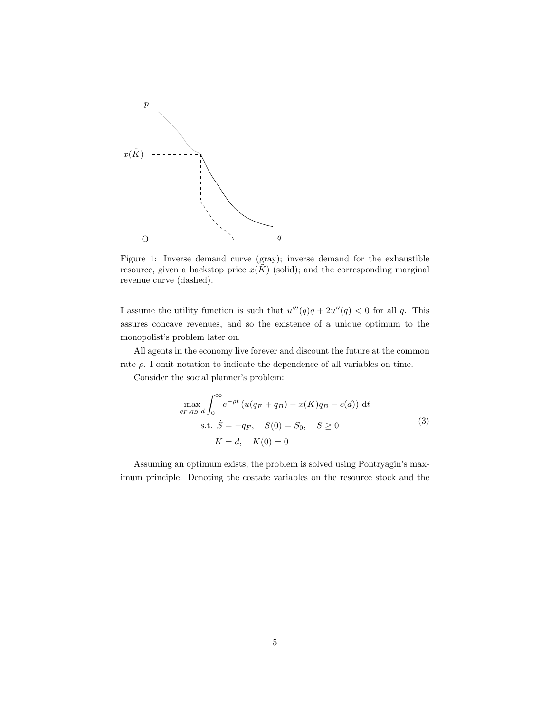

Figure 1: Inverse demand curve (gray); inverse demand for the exhaustible resource, given a backstop price  $x(\tilde{K})$  (solid); and the corresponding marginal revenue curve (dashed).

I assume the utility function is such that  $u'''(q)q + 2u''(q) < 0$  for all q. This assures concave revenues, and so the existence of a unique optimum to the monopolist's problem later on.

All agents in the economy live forever and discount the future at the common rate  $\rho$ . I omit notation to indicate the dependence of all variables on time.

Consider the social planner's problem:

$$
\max_{q_F, q_B, d} \int_0^\infty e^{-\rho t} \left( u(q_F + q_B) - x(K)q_B - c(d) \right) dt
$$
  
s.t.  $\dot{S} = -q_F$ ,  $S(0) = S_0$ ,  $S \ge 0$   
 $\dot{K} = d$ ,  $K(0) = 0$  (3)

Assuming an optimum exists, the problem is solved using Pontryagin's maximum principle. Denoting the costate variables on the resource stock and the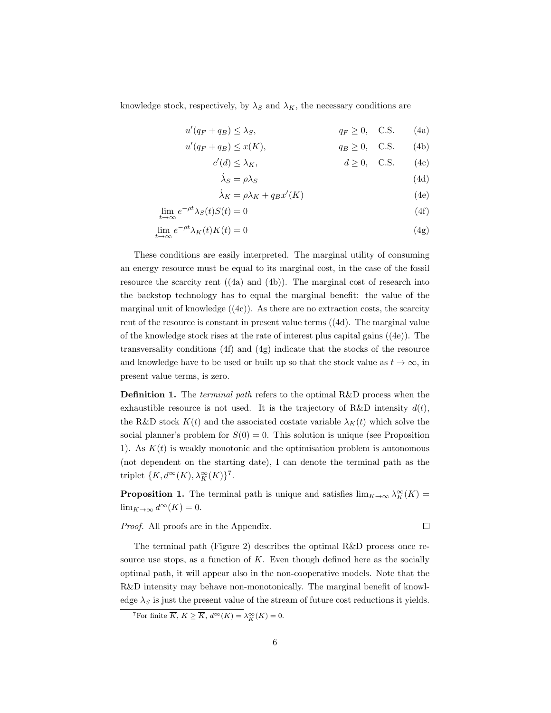knowledge stock, respectively, by  $\lambda_S$  and  $\lambda_K$ , the necessary conditions are

$$
u'(q_F + q_B) \le \lambda_S, \qquad \qquad q_F \ge 0, \quad \text{C.S.} \qquad (4a)
$$

$$
u'(q_F + q_B) \le x(K), \qquad \qquad q_B \ge 0, \quad C.S. \qquad (4b)
$$

$$
c'(d) \le \lambda_K, \qquad d \ge 0, \quad C.S. \qquad (4c)
$$

$$
\dot{\lambda}_S = \rho \lambda_S \tag{4d}
$$

$$
\dot{\lambda}_K = \rho \lambda_K + q_B x'(K) \tag{4e}
$$

$$
\lim_{t \to \infty} e^{-\rho t} \lambda_S(t) S(t) = 0 \tag{4f}
$$

$$
\lim_{t \to \infty} e^{-\rho t} \lambda_K(t) K(t) = 0 \tag{4g}
$$

These conditions are easily interpreted. The marginal utility of consuming an energy resource must be equal to its marginal cost, in the case of the fossil resource the scarcity rent ((4a) and (4b)). The marginal cost of research into the backstop technology has to equal the marginal benefit: the value of the marginal unit of knowledge  $((4c))$ . As there are no extraction costs, the scarcity rent of the resource is constant in present value terms ((4d). The marginal value of the knowledge stock rises at the rate of interest plus capital gains ((4e)). The transversality conditions (4f) and (4g) indicate that the stocks of the resource and knowledge have to be used or built up so that the stock value as  $t \to \infty$ , in present value terms, is zero.

Definition 1. The *terminal path* refers to the optimal R&D process when the exhaustible resource is not used. It is the trajectory of R&D intensity  $d(t)$ , the R&D stock  $K(t)$  and the associated costate variable  $\lambda_K(t)$  which solve the social planner's problem for  $S(0) = 0$ . This solution is unique (see Proposition 1). As  $K(t)$  is weakly monotonic and the optimisation problem is autonomous (not dependent on the starting date), I can denote the terminal path as the triplet  $\{K, d^{\infty}(K), \lambda_K^{\infty}(K)\}^7$ .

**Proposition 1.** The terminal path is unique and satisfies  $\lim_{K\to\infty} \lambda_K^{\infty}(K) =$  $\lim_{K\to\infty} d^{\infty}(K) = 0.$ 

Proof. All proofs are in the Appendix.

 $\Box$ 

The terminal path (Figure 2) describes the optimal R&D process once resource use stops, as a function of  $K$ . Even though defined here as the socially optimal path, it will appear also in the non-cooperative models. Note that the R&D intensity may behave non-monotonically. The marginal benefit of knowledge  $\lambda_S$  is just the present value of the stream of future cost reductions it yields.

<sup>&</sup>lt;sup>7</sup>For finite  $\overline{K}$ ,  $K \geq \overline{K}$ ,  $d^{\infty}(K) = \lambda_K^{\infty}(K) = 0$ .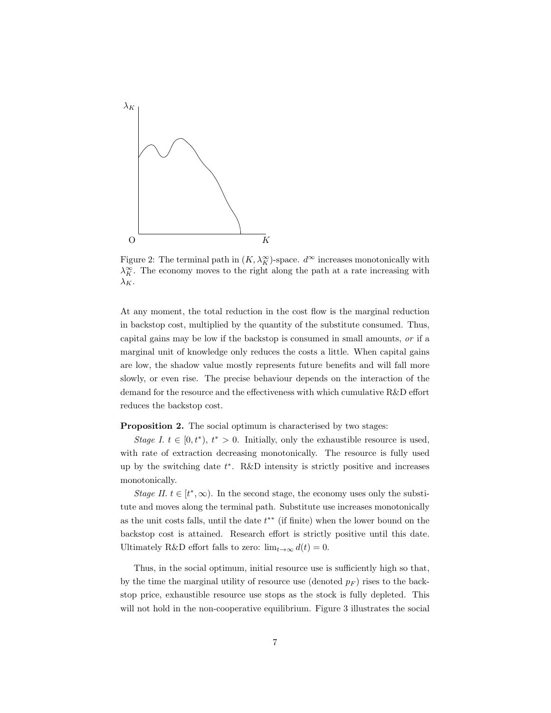

Figure 2: The terminal path in  $(K, \lambda_K^{\infty})$ -space.  $d^{\infty}$  increases monotonically with  $\lambda_K^{\infty}$ . The economy moves to the right along the path at a rate increasing with  $\lambda_K$ .

At any moment, the total reduction in the cost flow is the marginal reduction in backstop cost, multiplied by the quantity of the substitute consumed. Thus, capital gains may be low if the backstop is consumed in small amounts, or if a marginal unit of knowledge only reduces the costs a little. When capital gains are low, the shadow value mostly represents future benefits and will fall more slowly, or even rise. The precise behaviour depends on the interaction of the demand for the resource and the effectiveness with which cumulative R&D effort reduces the backstop cost.

Proposition 2. The social optimum is characterised by two stages:

Stage I.  $t \in [0, t^*)$ ,  $t^* > 0$ . Initially, only the exhaustible resource is used, with rate of extraction decreasing monotonically. The resource is fully used up by the switching date  $t^*$ . R&D intensity is strictly positive and increases monotonically.

Stage II.  $t \in [t^*, \infty)$ . In the second stage, the economy uses only the substitute and moves along the terminal path. Substitute use increases monotonically as the unit costs falls, until the date  $t^{**}$  (if finite) when the lower bound on the backstop cost is attained. Research effort is strictly positive until this date. Ultimately R&D effort falls to zero:  $\lim_{t\to\infty} d(t) = 0$ .

Thus, in the social optimum, initial resource use is sufficiently high so that, by the time the marginal utility of resource use (denoted  $p_F$ ) rises to the backstop price, exhaustible resource use stops as the stock is fully depleted. This will not hold in the non-cooperative equilibrium. Figure 3 illustrates the social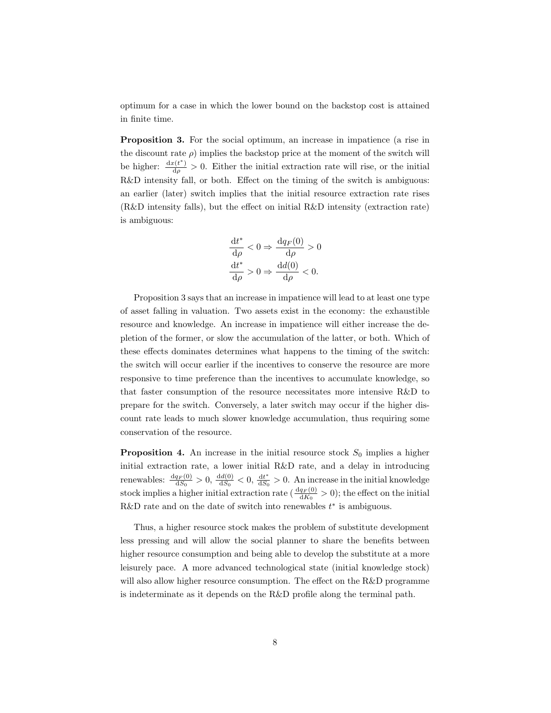optimum for a case in which the lower bound on the backstop cost is attained in finite time.

Proposition 3. For the social optimum, an increase in impatience (a rise in the discount rate  $\rho$ ) implies the backstop price at the moment of the switch will be higher:  $\frac{dx(t^*)}{d\rho} > 0$ . Either the initial extraction rate will rise, or the initial R&D intensity fall, or both. Effect on the timing of the switch is ambiguous: an earlier (later) switch implies that the initial resource extraction rate rises (R&D intensity falls), but the effect on initial R&D intensity (extraction rate) is ambiguous:

$$
\frac{dt^*}{d\rho} < 0 \Rightarrow \frac{dq_F(0)}{d\rho} > 0
$$
\n
$$
\frac{dt^*}{d\rho} > 0 \Rightarrow \frac{dd(0)}{d\rho} < 0.
$$

Proposition 3 says that an increase in impatience will lead to at least one type of asset falling in valuation. Two assets exist in the economy: the exhaustible resource and knowledge. An increase in impatience will either increase the depletion of the former, or slow the accumulation of the latter, or both. Which of these effects dominates determines what happens to the timing of the switch: the switch will occur earlier if the incentives to conserve the resource are more responsive to time preference than the incentives to accumulate knowledge, so that faster consumption of the resource necessitates more intensive R&D to prepare for the switch. Conversely, a later switch may occur if the higher discount rate leads to much slower knowledge accumulation, thus requiring some conservation of the resource.

**Proposition 4.** An increase in the initial resource stock  $S_0$  implies a higher initial extraction rate, a lower initial R&D rate, and a delay in introducing renewables:  $\frac{dq_F(0)}{dS_0} > 0$ ,  $\frac{dd(0)}{dS_0} < 0$ ,  $\frac{dt^*}{dS_0}$  $\frac{dt^*}{dS_0} > 0$ . An increase in the initial knowledge stock implies a higher initial extraction rate ( $\frac{dq_F(0)}{dK_0} > 0$ ); the effect on the initial R&D rate and on the date of switch into renewables  $t^*$  is ambiguous.

Thus, a higher resource stock makes the problem of substitute development less pressing and will allow the social planner to share the benefits between higher resource consumption and being able to develop the substitute at a more leisurely pace. A more advanced technological state (initial knowledge stock) will also allow higher resource consumption. The effect on the R&D programme is indeterminate as it depends on the R&D profile along the terminal path.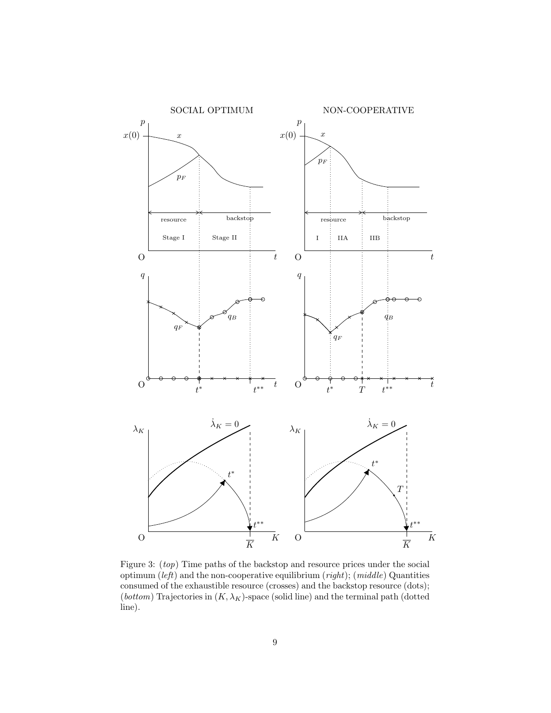

Figure 3: (top) Time paths of the backstop and resource prices under the social optimum  $(left)$  and the non-cooperative equilibrium  $(right)$ ;  $(middle)$  Quantities consumed of the exhaustible resource (crosses) and the backstop resource (dots); (*bottom*) Trajectories in  $(K, \lambda_K)$ -space (solid line) and the terminal path (dotted line).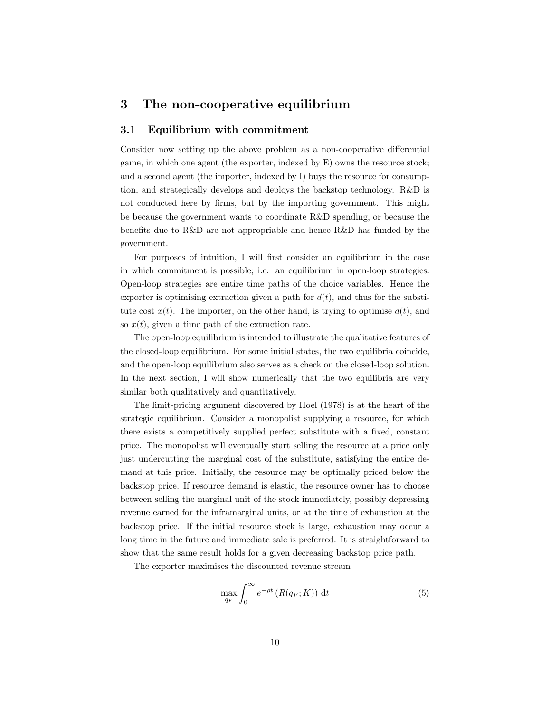#### 3 The non-cooperative equilibrium

#### 3.1 Equilibrium with commitment

Consider now setting up the above problem as a non-cooperative differential game, in which one agent (the exporter, indexed by E) owns the resource stock; and a second agent (the importer, indexed by I) buys the resource for consumption, and strategically develops and deploys the backstop technology. R&D is not conducted here by firms, but by the importing government. This might be because the government wants to coordinate R&D spending, or because the benefits due to R&D are not appropriable and hence R&D has funded by the government.

For purposes of intuition, I will first consider an equilibrium in the case in which commitment is possible; i.e. an equilibrium in open-loop strategies. Open-loop strategies are entire time paths of the choice variables. Hence the exporter is optimising extraction given a path for  $d(t)$ , and thus for the substitute cost  $x(t)$ . The importer, on the other hand, is trying to optimise  $d(t)$ , and so  $x(t)$ , given a time path of the extraction rate.

The open-loop equilibrium is intended to illustrate the qualitative features of the closed-loop equilibrium. For some initial states, the two equilibria coincide, and the open-loop equilibrium also serves as a check on the closed-loop solution. In the next section, I will show numerically that the two equilibria are very similar both qualitatively and quantitatively.

The limit-pricing argument discovered by Hoel (1978) is at the heart of the strategic equilibrium. Consider a monopolist supplying a resource, for which there exists a competitively supplied perfect substitute with a fixed, constant price. The monopolist will eventually start selling the resource at a price only just undercutting the marginal cost of the substitute, satisfying the entire demand at this price. Initially, the resource may be optimally priced below the backstop price. If resource demand is elastic, the resource owner has to choose between selling the marginal unit of the stock immediately, possibly depressing revenue earned for the inframarginal units, or at the time of exhaustion at the backstop price. If the initial resource stock is large, exhaustion may occur a long time in the future and immediate sale is preferred. It is straightforward to show that the same result holds for a given decreasing backstop price path.

The exporter maximises the discounted revenue stream

$$
\max_{q_F} \int_0^\infty e^{-\rho t} \left( R(q_F; K) \right) \, \mathrm{d}t \tag{5}
$$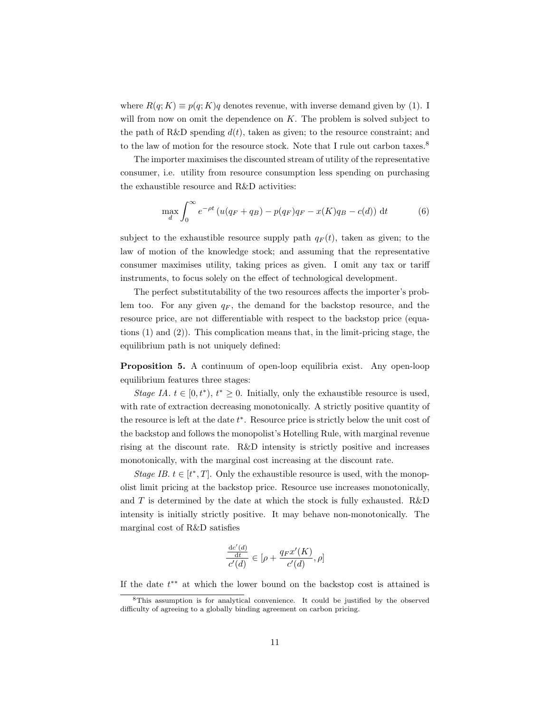where  $R(q; K) \equiv p(q; K)q$  denotes revenue, with inverse demand given by (1). I will from now on omit the dependence on  $K$ . The problem is solved subject to the path of R&D spending  $d(t)$ , taken as given; to the resource constraint; and to the law of motion for the resource stock. Note that I rule out carbon taxes.<sup>8</sup>

The importer maximises the discounted stream of utility of the representative consumer, i.e. utility from resource consumption less spending on purchasing the exhaustible resource and R&D activities:

$$
\max_{d} \int_{0}^{\infty} e^{-\rho t} \left( u(q_F + q_B) - p(q_F)q_F - x(K)q_B - c(d) \right) dt \tag{6}
$$

subject to the exhaustible resource supply path  $q_F(t)$ , taken as given; to the law of motion of the knowledge stock; and assuming that the representative consumer maximises utility, taking prices as given. I omit any tax or tariff instruments, to focus solely on the effect of technological development.

The perfect substitutability of the two resources affects the importer's problem too. For any given  $q_F$ , the demand for the backstop resource, and the resource price, are not differentiable with respect to the backstop price (equations (1) and (2)). This complication means that, in the limit-pricing stage, the equilibrium path is not uniquely defined:

Proposition 5. A continuum of open-loop equilibria exist. Any open-loop equilibrium features three stages:

Stage IA.  $t \in [0, t^*), t^* \geq 0$ . Initially, only the exhaustible resource is used, with rate of extraction decreasing monotonically. A strictly positive quantity of the resource is left at the date  $t^*$ . Resource price is strictly below the unit cost of the backstop and follows the monopolist's Hotelling Rule, with marginal revenue rising at the discount rate. R&D intensity is strictly positive and increases monotonically, with the marginal cost increasing at the discount rate.

Stage IB.  $t \in [t^*, T]$ . Only the exhaustible resource is used, with the monopolist limit pricing at the backstop price. Resource use increases monotonically, and  $T$  is determined by the date at which the stock is fully exhausted. R&D intensity is initially strictly positive. It may behave non-monotonically. The marginal cost of R&D satisfies

$$
\frac{\frac{dc'(d)}{dt}}{c'(d)} \in [\rho + \frac{q_F x'(K)}{c'(d)}, \rho]
$$

If the date  $t^{**}$  at which the lower bound on the backstop cost is attained is

<sup>8</sup>This assumption is for analytical convenience. It could be justified by the observed difficulty of agreeing to a globally binding agreement on carbon pricing.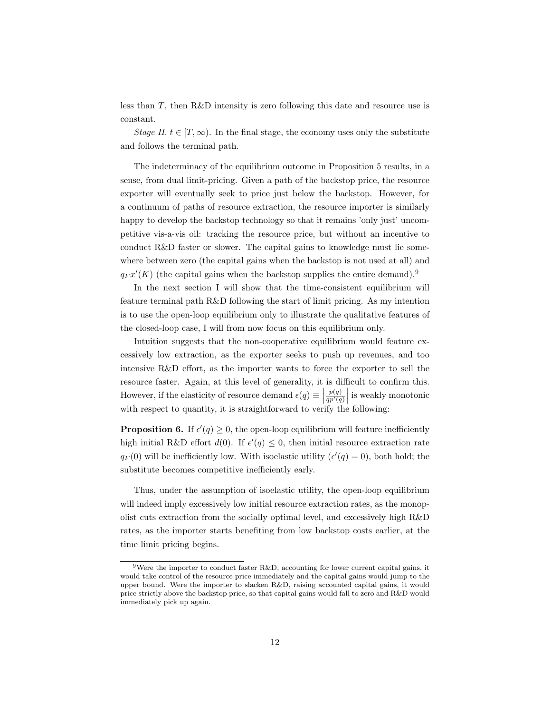less than  $T$ , then R&D intensity is zero following this date and resource use is constant.

Stage II.  $t \in [T, \infty)$ . In the final stage, the economy uses only the substitute and follows the terminal path.

The indeterminacy of the equilibrium outcome in Proposition 5 results, in a sense, from dual limit-pricing. Given a path of the backstop price, the resource exporter will eventually seek to price just below the backstop. However, for a continuum of paths of resource extraction, the resource importer is similarly happy to develop the backstop technology so that it remains 'only just' uncompetitive vis-a-vis oil: tracking the resource price, but without an incentive to conduct R&D faster or slower. The capital gains to knowledge must lie somewhere between zero (the capital gains when the backstop is not used at all) and  $q_F x'(K)$  (the capital gains when the backstop supplies the entire demand).<sup>9</sup>

In the next section I will show that the time-consistent equilibrium will feature terminal path R&D following the start of limit pricing. As my intention is to use the open-loop equilibrium only to illustrate the qualitative features of the closed-loop case, I will from now focus on this equilibrium only.

Intuition suggests that the non-cooperative equilibrium would feature excessively low extraction, as the exporter seeks to push up revenues, and too intensive R&D effort, as the importer wants to force the exporter to sell the resource faster. Again, at this level of generality, it is difficult to confirm this. However, if the elasticity of resource demand  $\epsilon(q) \equiv \vert$  $\left. \frac{p(q)}{qp'(q)} \right|$  is weakly monotonic with respect to quantity, it is straightforward to verify the following:

**Proposition 6.** If  $\epsilon'(q) \geq 0$ , the open-loop equilibrium will feature inefficiently high initial R&D effort  $d(0)$ . If  $\epsilon'(q) \leq 0$ , then initial resource extraction rate  $q_F(0)$  will be inefficiently low. With isoelastic utility  $(\epsilon'(q) = 0)$ , both hold; the substitute becomes competitive inefficiently early.

Thus, under the assumption of isoelastic utility, the open-loop equilibrium will indeed imply excessively low initial resource extraction rates, as the monopolist cuts extraction from the socially optimal level, and excessively high R&D rates, as the importer starts benefiting from low backstop costs earlier, at the time limit pricing begins.

<sup>&</sup>lt;sup>9</sup>Were the importer to conduct faster R&D, accounting for lower current capital gains, it would take control of the resource price immediately and the capital gains would jump to the upper bound. Were the importer to slacken R&D, raising accounted capital gains, it would price strictly above the backstop price, so that capital gains would fall to zero and R&D would immediately pick up again.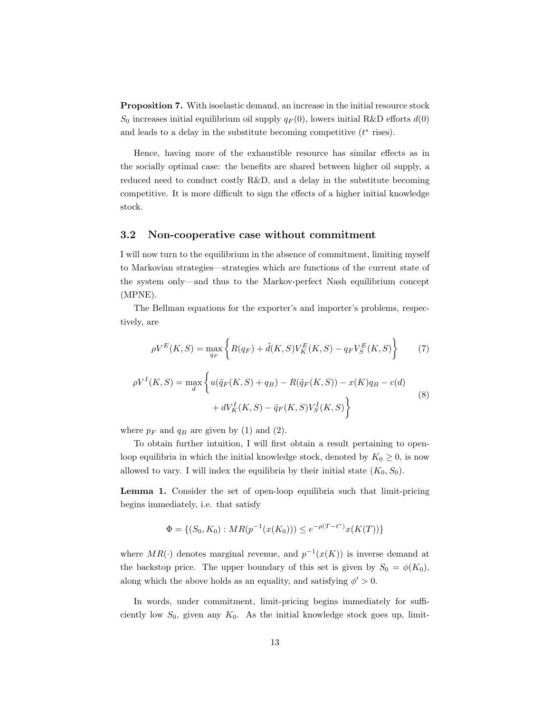Proposition 7. With isoelastic demand, an increase in the initial resource stock  $S_0$  increases initial equilibrium oil supply  $q_F(0)$ , lowers initial R&D efforts  $d(0)$ and leads to a delay in the substitute becoming competitive  $(t^*$  rises).

Hence, having more of the exhaustible resource has similar effects as in the socially optimal case: the benefits are shared between higher oil supply, a reduced need to conduct costly R&D, and a delay in the substitute becoming competitive. It is more difficult to sign the effects of a higher initial knowledge stock.

#### 3.2 Non-cooperative case without commitment

I will now turn to the equilibrium in the absence of commitment, limiting myself to Markovian strategies—strategies which are functions of the current state of the system only—and thus to the Markov-perfect Nash equilibrium concept (MPNE).

The Bellman equations for the exporter's and importer's problems, respectively, are

$$
\rho V^{E}(K, S) = \max_{q_{F}} \left\{ R(q_{F}) + \tilde{d}(K, S) V_{K}^{E}(K, S) - q_{F} V_{S}^{E}(K, S) \right\}
$$
(7)

$$
\rho V^{I}(K, S) = \max_{d} \left\{ u(\tilde{q}_{F}(K, S) + q_{B}) - R(\tilde{q}_{F}(K, S)) - x(K)q_{B} - c(d) + dV_{K}^{I}(K, S) - \tilde{q}_{F}(K, S)V_{S}^{I}(K, S) \right\}
$$
\n(8)

where  $p_F$  and  $q_B$  are given by (1) and (2).

To obtain further intuition, I will first obtain a result pertaining to openloop equilibria in which the initial knowledge stock, denoted by  $K_0 \geq 0$ , is now allowed to vary. I will index the equilibria by their initial state  $(K_0, S_0)$ .

Lemma 1. Consider the set of open-loop equilibria such that limit-pricing begins immediately, i.e. that satisfy

$$
\Phi = \{(S_0, K_0) : MR(p^{-1}(x(K_0))) \le e^{-\rho(T - t^*)}x(K(T))\}
$$

where  $MR(\cdot)$  denotes marginal revenue, and  $p^{-1}(x(K))$  is inverse demand at the backstop price. The upper boundary of this set is given by  $S_0 = \phi(K_0)$ , along which the above holds as an equality, and satisfying  $\phi' > 0$ .

In words, under commitment, limit-pricing begins immediately for sufficiently low  $S_0$ , given any  $K_0$ . As the initial knowledge stock goes up, limit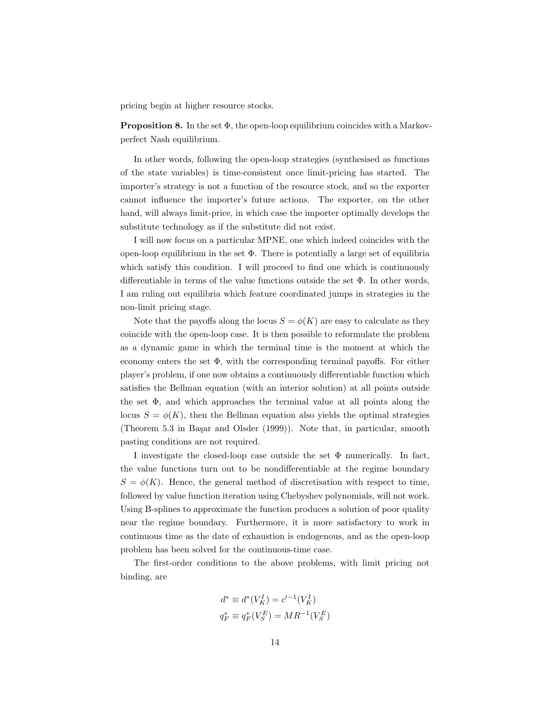pricing begin at higher resource stocks.

**Proposition 8.** In the set  $\Phi$ , the open-loop equilibrium coincides with a Markovperfect Nash equilibrium.

In other words, following the open-loop strategies (synthesised as functions of the state variables) is time-consistent once limit-pricing has started. The importer's strategy is not a function of the resource stock, and so the exporter cannot influence the importer's future actions. The exporter, on the other hand, will always limit-price, in which case the importer optimally develops the substitute technology as if the substitute did not exist.

I will now focus on a particular MPNE, one which indeed coincides with the open-loop equilibrium in the set  $\Phi$ . There is potentially a large set of equilibria which satisfy this condition. I will proceed to find one which is continuously differentiable in terms of the value functions outside the set  $\Phi$ . In other words, I am ruling out equilibria which feature coordinated jumps in strategies in the non-limit pricing stage.

Note that the payoffs along the locus  $S = \phi(K)$  are easy to calculate as they coincide with the open-loop case. It is then possible to reformulate the problem as a dynamic game in which the terminal time is the moment at which the economy enters the set  $\Phi$ , with the corresponding terminal payoffs. For either player's problem, if one now obtains a continuously differentiable function which satisfies the Bellman equation (with an interior solution) at all points outside the set  $\Phi$ , and which approaches the terminal value at all points along the locus  $S = \phi(K)$ , then the Bellman equation also yields the optimal strategies (Theorem 5.3 in Başar and Olsder (1999)). Note that, in particular, smooth pasting conditions are not required.

I investigate the closed-loop case outside the set  $\Phi$  numerically. In fact, the value functions turn out to be nondifferentiable at the regime boundary  $S = \phi(K)$ . Hence, the general method of discretisation with respect to time, followed by value function iteration using Chebyshev polynomials, will not work. Using B-splines to approximate the function produces a solution of poor quality near the regime boundary. Furthermore, it is more satisfactory to work in continuous time as the date of exhaustion is endogenous, and as the open-loop problem has been solved for the continuous-time case.

The first-order conditions to the above problems, with limit pricing not binding, are

$$
d^* \equiv d^*(V_K^I) = c'^{-1}(V_K^I)
$$
  

$$
q_F^* \equiv q_F^*(V_S^E) = MR^{-1}(V_S^E)
$$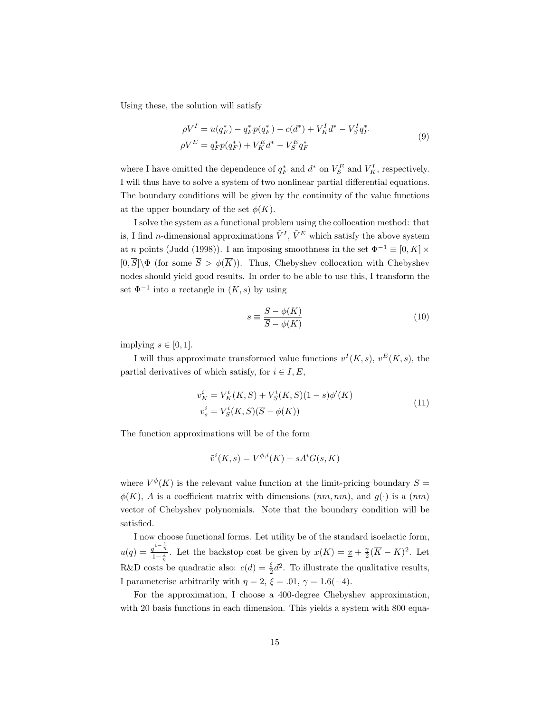Using these, the solution will satisfy

$$
\rho V^I = u(q_F^*) - q_F^* p(q_F^*) - c(d^*) + V_K^I d^* - V_S^I q_F^*
$$
  
\n
$$
\rho V^E = q_F^* p(q_F^*) + V_K^E d^* - V_S^E q_F^*
$$
\n(9)

where I have omitted the dependence of  $q_F^*$  and  $d^*$  on  $V_S^E$  and  $V_K^I$ , respectively. I will thus have to solve a system of two nonlinear partial differential equations. The boundary conditions will be given by the continuity of the value functions at the upper boundary of the set  $\phi(K)$ .

I solve the system as a functional problem using the collocation method: that is, I find *n*-dimensional approximations  $\tilde{V}^I$ ,  $\tilde{V}^E$  which satisfy the above system at *n* points (Judd (1998)). I am imposing smoothness in the set  $\Phi^{-1} \equiv [0, \overline{K}] \times$  $[0, \overline{S}] \backslash \Phi$  (for some  $\overline{S} > \phi(\overline{K})$ ). Thus, Chebyshev collocation with Chebyshev nodes should yield good results. In order to be able to use this, I transform the set  $\Phi^{-1}$  into a rectangle in  $(K, s)$  by using

$$
s \equiv \frac{S - \phi(K)}{\overline{S} - \phi(K)}\tag{10}
$$

implying  $s \in [0, 1]$ .

I will thus approximate transformed value functions  $v^I(K, s)$ ,  $v^E(K, s)$ , the partial derivatives of which satisfy, for  $i \in I, E$ ,

$$
v_K^i = V_K^i(K, S) + V_S^i(K, S)(1 - s)\phi'(K)
$$
  
\n
$$
v_s^i = V_S^i(K, S)(\overline{S} - \phi(K))
$$
\n(11)

The function approximations will be of the form

$$
\tilde{v}^i(K, s) = V^{\phi, i}(K) + sA^i G(s, K)
$$

where  $V^{\phi}(K)$  is the relevant value function at the limit-pricing boundary  $S =$  $\phi(K)$ , A is a coefficient matrix with dimensions  $(nm, nm)$ , and  $g(\cdot)$  is a  $(nm)$ vector of Chebyshev polynomials. Note that the boundary condition will be satisfied.

I now choose functional forms. Let utility be of the standard isoelactic form,  $u(q) = \frac{q^{1-\frac{1}{\eta}}}{1-\frac{1}{\eta}}$ . Let the backstop cost be given by  $x(K) = \underline{x} + \frac{\gamma}{2}(\overline{K} - K)^2$ . Let R&D costs be quadratic also:  $c(d) = \frac{\xi}{2}d^2$ . To illustrate the qualitative results, I parameterise arbitrarily with  $\eta = 2$ ,  $\xi = .01$ ,  $\gamma = 1.6(-4)$ .

For the approximation, I choose a 400-degree Chebyshev approximation, with 20 basis functions in each dimension. This yields a system with 800 equa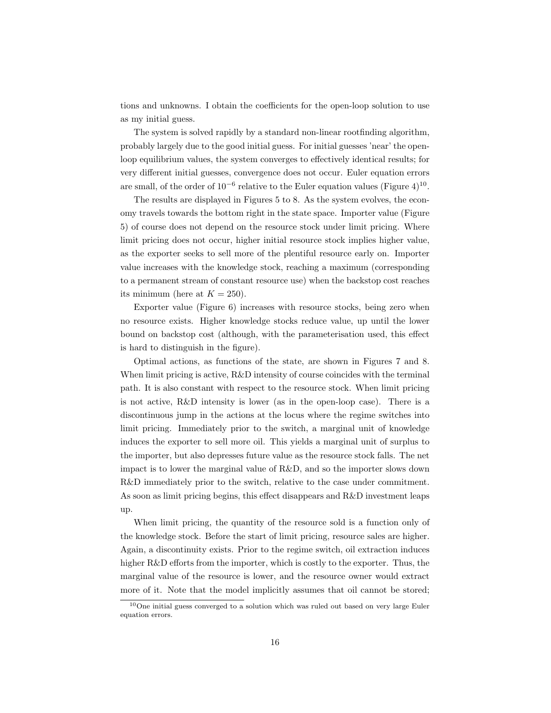tions and unknowns. I obtain the coefficients for the open-loop solution to use as my initial guess.

The system is solved rapidly by a standard non-linear rootfinding algorithm, probably largely due to the good initial guess. For initial guesses 'near' the openloop equilibrium values, the system converges to effectively identical results; for very different initial guesses, convergence does not occur. Euler equation errors are small, of the order of  $10^{-6}$  relative to the Euler equation values (Figure 4)<sup>10</sup>.

The results are displayed in Figures 5 to 8. As the system evolves, the economy travels towards the bottom right in the state space. Importer value (Figure 5) of course does not depend on the resource stock under limit pricing. Where limit pricing does not occur, higher initial resource stock implies higher value, as the exporter seeks to sell more of the plentiful resource early on. Importer value increases with the knowledge stock, reaching a maximum (corresponding to a permanent stream of constant resource use) when the backstop cost reaches its minimum (here at  $K = 250$ ).

Exporter value (Figure 6) increases with resource stocks, being zero when no resource exists. Higher knowledge stocks reduce value, up until the lower bound on backstop cost (although, with the parameterisation used, this effect is hard to distinguish in the figure).

Optimal actions, as functions of the state, are shown in Figures 7 and 8. When limit pricing is active,  $R\&D$  intensity of course coincides with the terminal path. It is also constant with respect to the resource stock. When limit pricing is not active, R&D intensity is lower (as in the open-loop case). There is a discontinuous jump in the actions at the locus where the regime switches into limit pricing. Immediately prior to the switch, a marginal unit of knowledge induces the exporter to sell more oil. This yields a marginal unit of surplus to the importer, but also depresses future value as the resource stock falls. The net impact is to lower the marginal value of R&D, and so the importer slows down R&D immediately prior to the switch, relative to the case under commitment. As soon as limit pricing begins, this effect disappears and R&D investment leaps up.

When limit pricing, the quantity of the resource sold is a function only of the knowledge stock. Before the start of limit pricing, resource sales are higher. Again, a discontinuity exists. Prior to the regime switch, oil extraction induces higher R&D efforts from the importer, which is costly to the exporter. Thus, the marginal value of the resource is lower, and the resource owner would extract more of it. Note that the model implicitly assumes that oil cannot be stored;

<sup>10</sup>One initial guess converged to a solution which was ruled out based on very large Euler equation errors.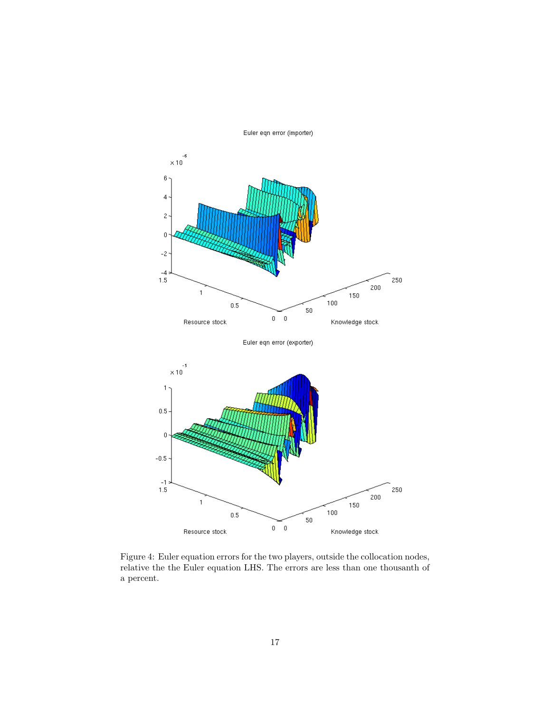

Euler eqn error (importer)

Figure 4: Euler equation errors for the two players, outside the collocation nodes, relative the the Euler equation LHS. The errors are less than one thousanth of a percent.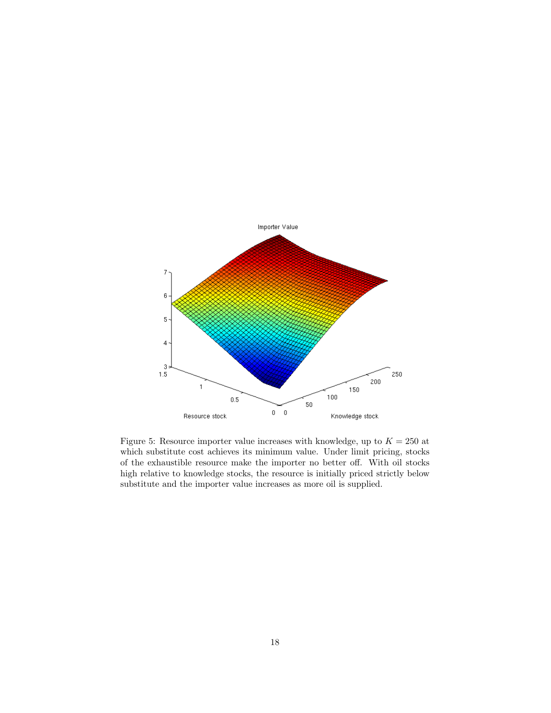

Figure 5: Resource importer value increases with knowledge, up to  $K = 250$  at which substitute cost achieves its minimum value. Under limit pricing, stocks of the exhaustible resource make the importer no better off. With oil stocks high relative to knowledge stocks, the resource is initially priced strictly below substitute and the importer value increases as more oil is supplied.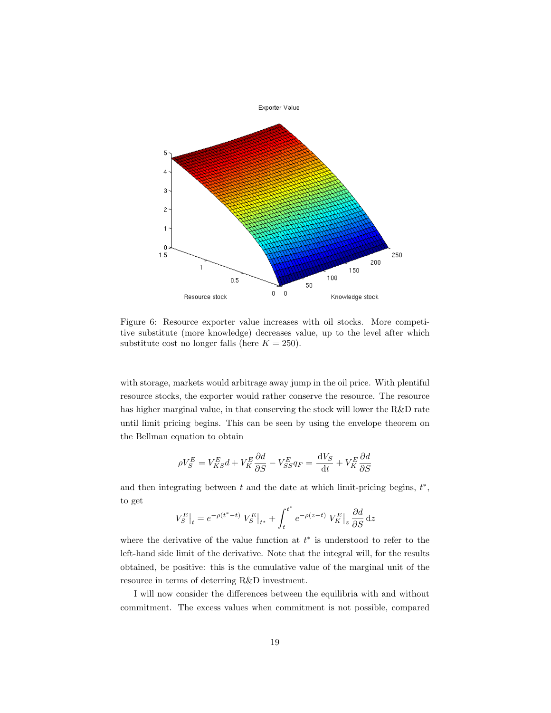

Figure 6: Resource exporter value increases with oil stocks. More competitive substitute (more knowledge) decreases value, up to the level after which substitute cost no longer falls (here  $K = 250$ ).

with storage, markets would arbitrage away jump in the oil price. With plentiful resource stocks, the exporter would rather conserve the resource. The resource has higher marginal value, in that conserving the stock will lower the R&D rate until limit pricing begins. This can be seen by using the envelope theorem on the Bellman equation to obtain

$$
\rho V_S^E = V_{KS}^E d + V_K^E \frac{\partial d}{\partial S} - V_{SS}^E q_F = \frac{dV_S}{dt} + V_K^E \frac{\partial d}{\partial S}
$$

and then integrating between  $t$  and the date at which limit-pricing begins,  $t^*$ , to get

$$
V_S^E\big|_t = e^{-\rho(t^*-t)} V_S^E\big|_{t^*} + \int_t^{t^*} e^{-\rho(z-t)} V_K^E\big|_z\,\frac{\partial d}{\partial S}\,\mathrm{d} z
$$

where the derivative of the value function at  $t^*$  is understood to refer to the left-hand side limit of the derivative. Note that the integral will, for the results obtained, be positive: this is the cumulative value of the marginal unit of the resource in terms of deterring R&D investment.

I will now consider the differences between the equilibria with and without commitment. The excess values when commitment is not possible, compared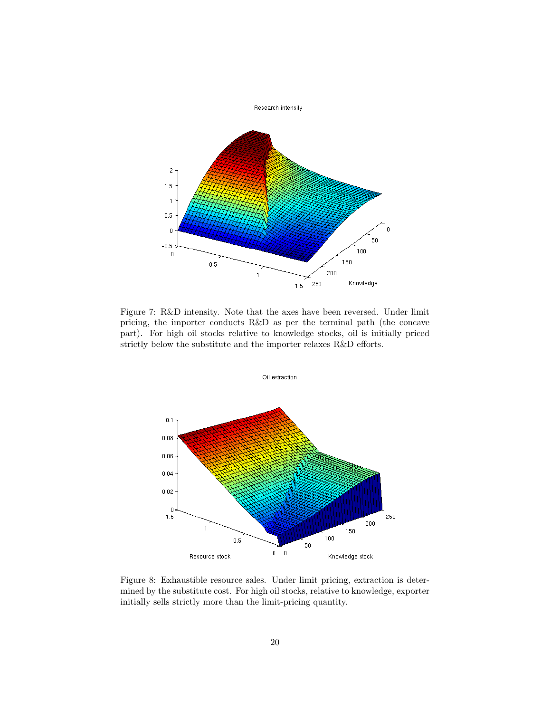

Figure 7: R&D intensity. Note that the axes have been reversed. Under limit pricing, the importer conducts R&D as per the terminal path (the concave part). For high oil stocks relative to knowledge stocks, oil is initially priced strictly below the substitute and the importer relaxes R&D efforts.



Figure 8: Exhaustible resource sales. Under limit pricing, extraction is determined by the substitute cost. For high oil stocks, relative to knowledge, exporter initially sells strictly more than the limit-pricing quantity.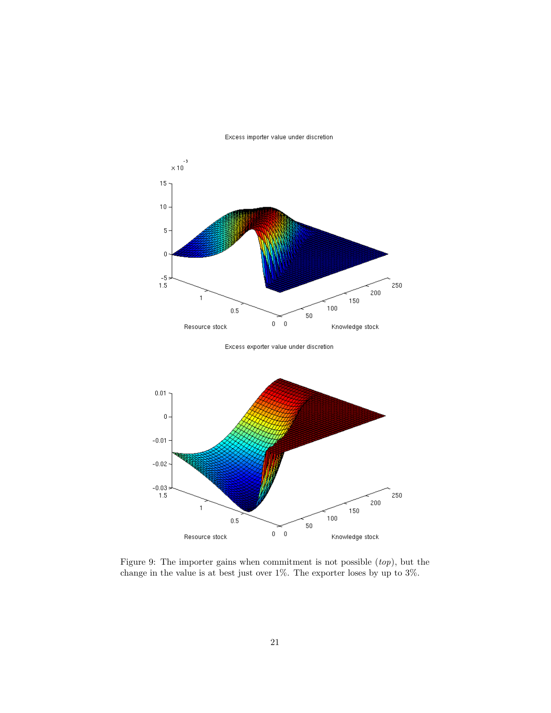

Excess importer value under discretion

Excess exporter value under discretion



Figure 9: The importer gains when commitment is not possible  $(top)$ , but the change in the value is at best just over 1%. The exporter loses by up to 3%.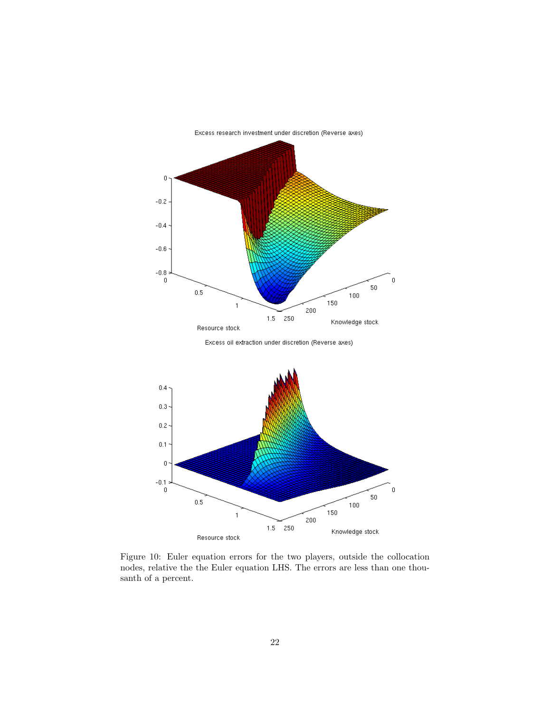

Excess research investment under discretion (Reverse axes)





Figure 10: Euler equation errors for the two players, outside the collocation nodes, relative the the Euler equation LHS. The errors are less than one thousanth of a percent.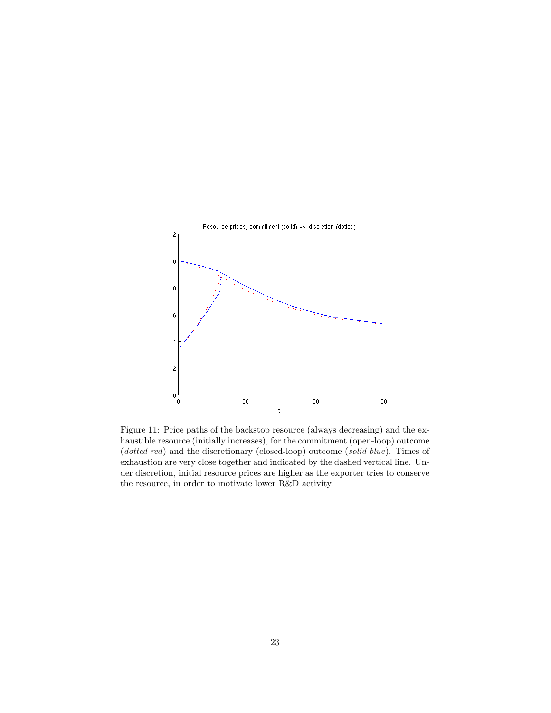

Figure 11: Price paths of the backstop resource (always decreasing) and the exhaustible resource (initially increases), for the commitment (open-loop) outcome (dotted red) and the discretionary (closed-loop) outcome (solid blue). Times of exhaustion are very close together and indicated by the dashed vertical line. Under discretion, initial resource prices are higher as the exporter tries to conserve the resource, in order to motivate lower R&D activity.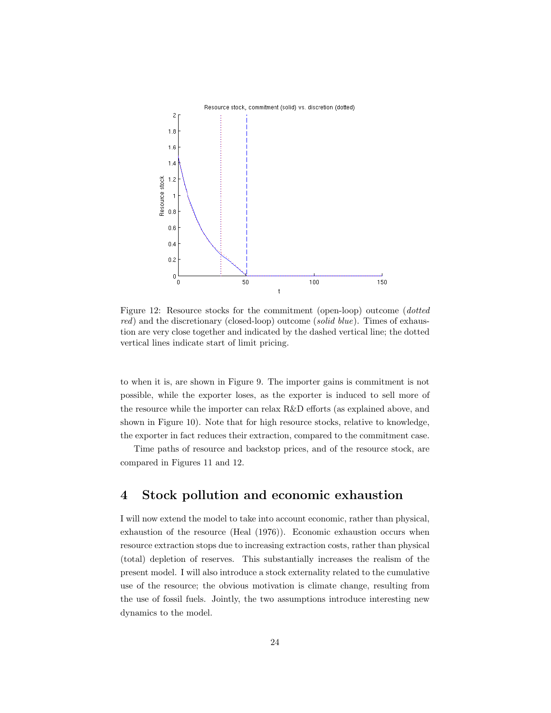

Figure 12: Resource stocks for the commitment (open-loop) outcome (dotted red) and the discretionary (closed-loop) outcome (solid blue). Times of exhaustion are very close together and indicated by the dashed vertical line; the dotted vertical lines indicate start of limit pricing.

to when it is, are shown in Figure 9. The importer gains is commitment is not possible, while the exporter loses, as the exporter is induced to sell more of the resource while the importer can relax R&D efforts (as explained above, and shown in Figure 10). Note that for high resource stocks, relative to knowledge, the exporter in fact reduces their extraction, compared to the commitment case.

Time paths of resource and backstop prices, and of the resource stock, are compared in Figures 11 and 12.

## 4 Stock pollution and economic exhaustion

I will now extend the model to take into account economic, rather than physical, exhaustion of the resource (Heal (1976)). Economic exhaustion occurs when resource extraction stops due to increasing extraction costs, rather than physical (total) depletion of reserves. This substantially increases the realism of the present model. I will also introduce a stock externality related to the cumulative use of the resource; the obvious motivation is climate change, resulting from the use of fossil fuels. Jointly, the two assumptions introduce interesting new dynamics to the model.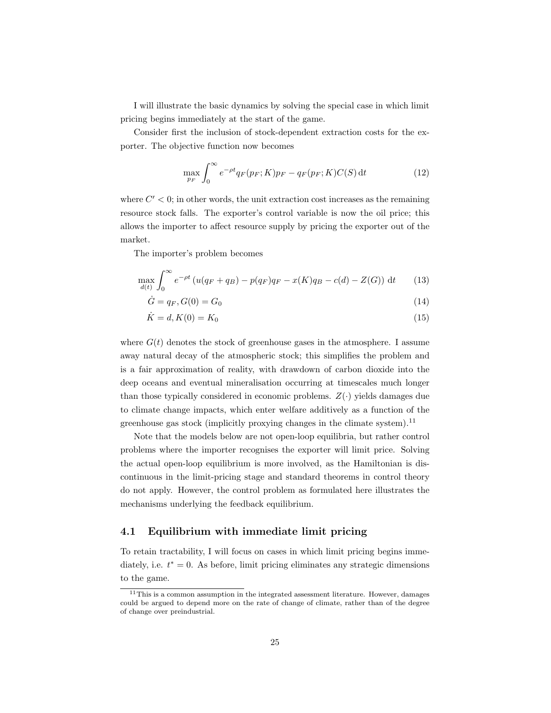I will illustrate the basic dynamics by solving the special case in which limit pricing begins immediately at the start of the game.

Consider first the inclusion of stock-dependent extraction costs for the exporter. The objective function now becomes

$$
\max_{p_F} \int_0^\infty e^{-\rho t} q_F(p_F; K) p_F - q_F(p_F; K) C(S) dt \tag{12}
$$

where  $C' < 0$ ; in other words, the unit extraction cost increases as the remaining resource stock falls. The exporter's control variable is now the oil price; this allows the importer to affect resource supply by pricing the exporter out of the market.

The importer's problem becomes

$$
\max_{d(t)} \int_0^\infty e^{-\rho t} \left( u(q_F + q_B) - p(q_F)q_F - x(K)q_B - c(d) - Z(G) \right) dt \tag{13}
$$

$$
\dot{G} = q_F, G(0) = G_0 \tag{14}
$$

$$
\dot{K} = d, K(0) = K_0 \tag{15}
$$

where  $G(t)$  denotes the stock of greenhouse gases in the atmosphere. I assume away natural decay of the atmospheric stock; this simplifies the problem and is a fair approximation of reality, with drawdown of carbon dioxide into the deep oceans and eventual mineralisation occurring at timescales much longer than those typically considered in economic problems.  $Z(\cdot)$  yields damages due to climate change impacts, which enter welfare additively as a function of the greenhouse gas stock (implicitly proxying changes in the climate system).<sup>11</sup>

Note that the models below are not open-loop equilibria, but rather control problems where the importer recognises the exporter will limit price. Solving the actual open-loop equilibrium is more involved, as the Hamiltonian is discontinuous in the limit-pricing stage and standard theorems in control theory do not apply. However, the control problem as formulated here illustrates the mechanisms underlying the feedback equilibrium.

#### 4.1 Equilibrium with immediate limit pricing

To retain tractability, I will focus on cases in which limit pricing begins immediately, i.e.  $t^* = 0$ . As before, limit pricing eliminates any strategic dimensions to the game.

<sup>&</sup>lt;sup>11</sup>This is a common assumption in the integrated assessment literature. However, damages could be argued to depend more on the rate of change of climate, rather than of the degree of change over preindustrial.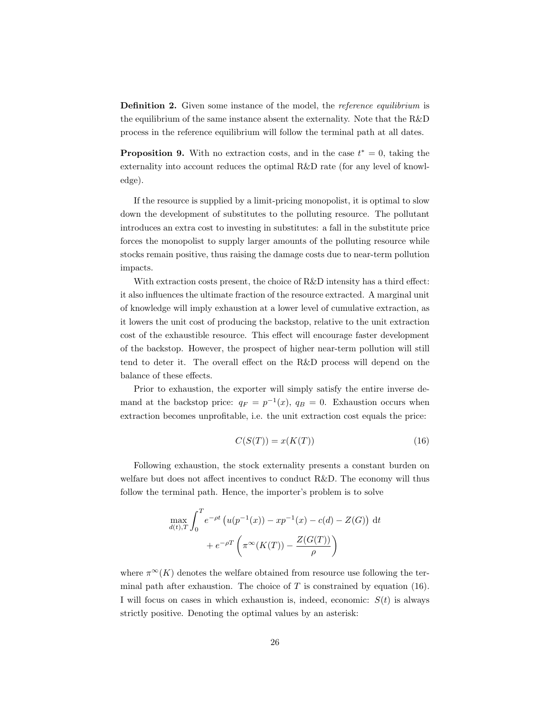Definition 2. Given some instance of the model, the *reference equilibrium* is the equilibrium of the same instance absent the externality. Note that the R&D process in the reference equilibrium will follow the terminal path at all dates.

**Proposition 9.** With no extraction costs, and in the case  $t^* = 0$ , taking the externality into account reduces the optimal R&D rate (for any level of knowledge).

If the resource is supplied by a limit-pricing monopolist, it is optimal to slow down the development of substitutes to the polluting resource. The pollutant introduces an extra cost to investing in substitutes: a fall in the substitute price forces the monopolist to supply larger amounts of the polluting resource while stocks remain positive, thus raising the damage costs due to near-term pollution impacts.

With extraction costs present, the choice of R&D intensity has a third effect: it also influences the ultimate fraction of the resource extracted. A marginal unit of knowledge will imply exhaustion at a lower level of cumulative extraction, as it lowers the unit cost of producing the backstop, relative to the unit extraction cost of the exhaustible resource. This effect will encourage faster development of the backstop. However, the prospect of higher near-term pollution will still tend to deter it. The overall effect on the R&D process will depend on the balance of these effects.

Prior to exhaustion, the exporter will simply satisfy the entire inverse demand at the backstop price:  $q_F = p^{-1}(x)$ ,  $q_B = 0$ . Exhaustion occurs when extraction becomes unprofitable, i.e. the unit extraction cost equals the price:

$$
C(S(T)) = x(K(T))
$$
\n<sup>(16)</sup>

Following exhaustion, the stock externality presents a constant burden on welfare but does not affect incentives to conduct R&D. The economy will thus follow the terminal path. Hence, the importer's problem is to solve

$$
\max_{d(t),T} \int_0^T e^{-\rho t} \left( u(p^{-1}(x)) - xp^{-1}(x) - c(d) - Z(G) \right) dt
$$
  
+  $e^{-\rho T} \left( \pi^{\infty}(K(T)) - \frac{Z(G(T))}{\rho} \right)$ 

where  $\pi^{\infty}(K)$  denotes the welfare obtained from resource use following the terminal path after exhaustion. The choice of  $T$  is constrained by equation (16). I will focus on cases in which exhaustion is, indeed, economic:  $S(t)$  is always strictly positive. Denoting the optimal values by an asterisk: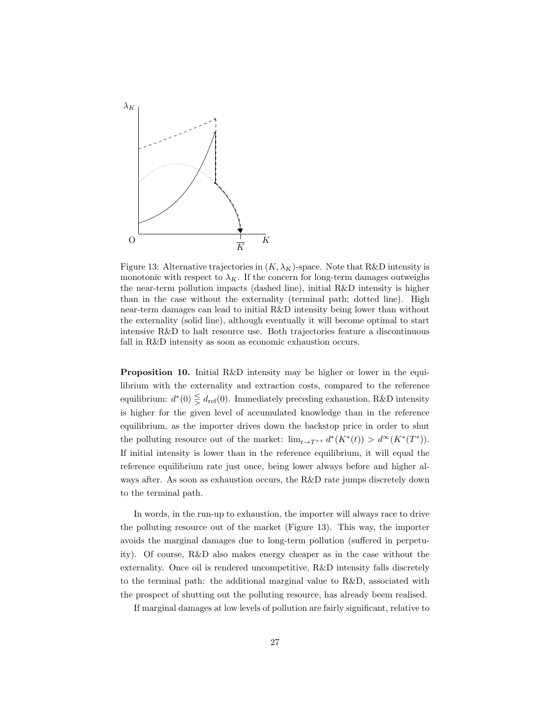

Figure 13: Alternative trajectories in  $(K, \lambda_K)$ -space. Note that R&D intensity is monotonic with respect to  $\lambda_K$ . If the concern for long-term damages outweighs the near-term pollution impacts (dashed line), initial R&D intensity is higher than in the case without the externality (terminal path; dotted line). High near-term damages can lead to initial R&D intensity being lower than without the externality (solid line), although eventually it will become optimal to start intensive R&D to halt resource use. Both trajectories feature a discontinuous fall in R&D intensity as soon as economic exhaustion occurs.

Proposition 10. Initial R&D intensity may be higher or lower in the equilibrium with the externality and extraction costs, compared to the reference equilibrium:  $d^*(0) \leq d_{\text{ref}}(0)$ . Immediately preceding exhaustion, R&D intensity is higher for the given level of accumulated knowledge than in the reference equilibrium, as the importer drives down the backstop price in order to shut the polluting resource out of the market:  $\lim_{t \to T^{*+}} d^*(K^*(t)) > d^{\infty}(K^*(T^*)).$ If initial intensity is lower than in the reference equilibrium, it will equal the reference equilibrium rate just once, being lower always before and higher always after. As soon as exhaustion occurs, the R&D rate jumps discretely down to the terminal path.

In words, in the run-up to exhaustion, the importer will always race to drive the polluting resource out of the market (Figure 13). This way, the importer avoids the marginal damages due to long-term pollution (suffered in perpetuity). Of course, R&D also makes energy cheaper as in the case without the externality. Once oil is rendered uncompetitive, R&D intensity falls discretely to the terminal path: the additional marginal value to R&D, associated with the prospect of shutting out the polluting resource, has already beem realised.

If marginal damages at low levels of pollution are fairly significant, relative to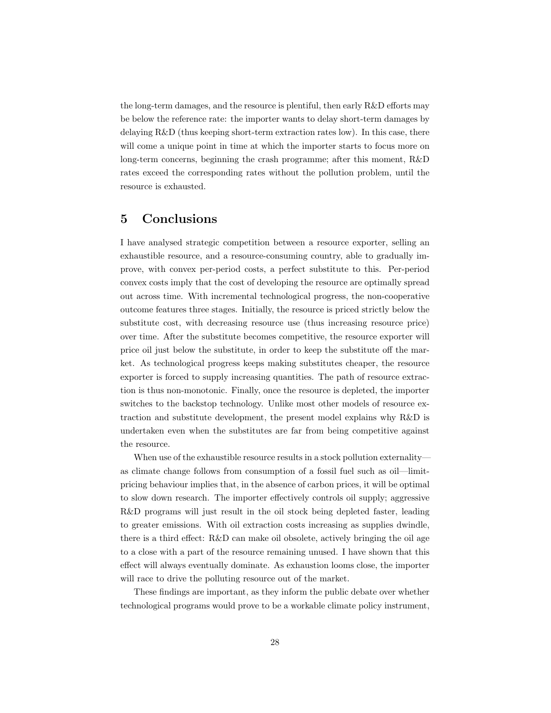the long-term damages, and the resource is plentiful, then early R&D efforts may be below the reference rate: the importer wants to delay short-term damages by delaying R&D (thus keeping short-term extraction rates low). In this case, there will come a unique point in time at which the importer starts to focus more on long-term concerns, beginning the crash programme; after this moment, R&D rates exceed the corresponding rates without the pollution problem, until the resource is exhausted.

## 5 Conclusions

I have analysed strategic competition between a resource exporter, selling an exhaustible resource, and a resource-consuming country, able to gradually improve, with convex per-period costs, a perfect substitute to this. Per-period convex costs imply that the cost of developing the resource are optimally spread out across time. With incremental technological progress, the non-cooperative outcome features three stages. Initially, the resource is priced strictly below the substitute cost, with decreasing resource use (thus increasing resource price) over time. After the substitute becomes competitive, the resource exporter will price oil just below the substitute, in order to keep the substitute off the market. As technological progress keeps making substitutes cheaper, the resource exporter is forced to supply increasing quantities. The path of resource extraction is thus non-monotonic. Finally, once the resource is depleted, the importer switches to the backstop technology. Unlike most other models of resource extraction and substitute development, the present model explains why R&D is undertaken even when the substitutes are far from being competitive against the resource.

When use of the exhaustible resource results in a stock pollution externality as climate change follows from consumption of a fossil fuel such as oil—limitpricing behaviour implies that, in the absence of carbon prices, it will be optimal to slow down research. The importer effectively controls oil supply; aggressive R&D programs will just result in the oil stock being depleted faster, leading to greater emissions. With oil extraction costs increasing as supplies dwindle, there is a third effect: R&D can make oil obsolete, actively bringing the oil age to a close with a part of the resource remaining unused. I have shown that this effect will always eventually dominate. As exhaustion looms close, the importer will race to drive the polluting resource out of the market.

These findings are important, as they inform the public debate over whether technological programs would prove to be a workable climate policy instrument,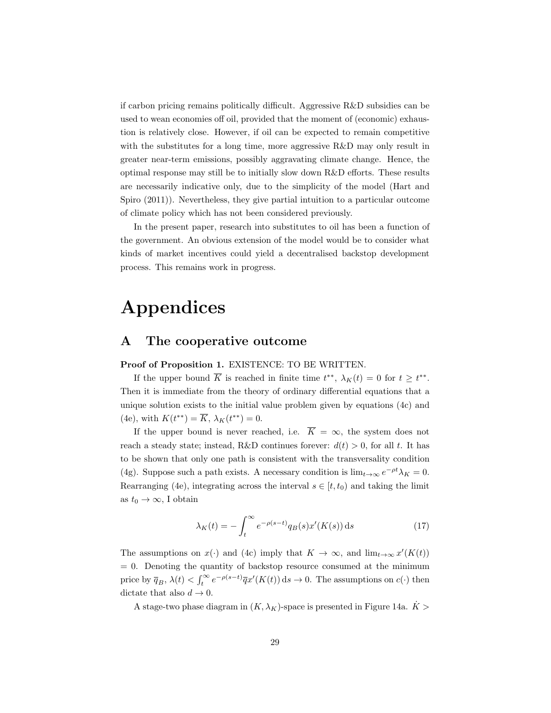if carbon pricing remains politically difficult. Aggressive R&D subsidies can be used to wean economies off oil, provided that the moment of (economic) exhaustion is relatively close. However, if oil can be expected to remain competitive with the substitutes for a long time, more aggressive R&D may only result in greater near-term emissions, possibly aggravating climate change. Hence, the optimal response may still be to initially slow down R&D efforts. These results are necessarily indicative only, due to the simplicity of the model (Hart and Spiro (2011)). Nevertheless, they give partial intuition to a particular outcome of climate policy which has not been considered previously.

In the present paper, research into substitutes to oil has been a function of the government. An obvious extension of the model would be to consider what kinds of market incentives could yield a decentralised backstop development process. This remains work in progress.

# Appendices

#### A The cooperative outcome

Proof of Proposition 1. EXISTENCE: TO BE WRITTEN.

If the upper bound  $\overline{K}$  is reached in finite time  $t^{**}$ ,  $\lambda_K(t) = 0$  for  $t \geq t^{**}$ . Then it is immediate from the theory of ordinary differential equations that a unique solution exists to the initial value problem given by equations (4c) and (4e), with  $K(t^{**}) = \overline{K}$ ,  $\lambda_K(t^{**}) = 0$ .

If the upper bound is never reached, i.e.  $\overline{K} = \infty$ , the system does not reach a steady state; instead, R&D continues forever:  $d(t) > 0$ , for all t. It has to be shown that only one path is consistent with the transversality condition (4g). Suppose such a path exists. A necessary condition is  $\lim_{t\to\infty} e^{-\rho t} \lambda_K = 0$ . Rearranging (4e), integrating across the interval  $s \in [t, t_0)$  and taking the limit as  $t_0 \to \infty$ , I obtain

$$
\lambda_K(t) = -\int_t^{\infty} e^{-\rho(s-t)} q_B(s) x'(K(s)) \, \mathrm{d}s \tag{17}
$$

The assumptions on  $x(\cdot)$  and (4c) imply that  $K \to \infty$ , and  $\lim_{t \to \infty} x'(K(t))$  $= 0$ . Denoting the quantity of backstop resource consumed at the minimum price by  $\overline{q}_B$ ,  $\lambda(t) < \int_t^{\infty} e^{-\rho(s-t)} \overline{q}x'(K(t)) ds \to 0$ . The assumptions on  $c(\cdot)$  then dictate that also  $d \to 0$ .

A stage-two phase diagram in  $(K, \lambda_K)$ -space is presented in Figure 14a.  $\dot{K}$  >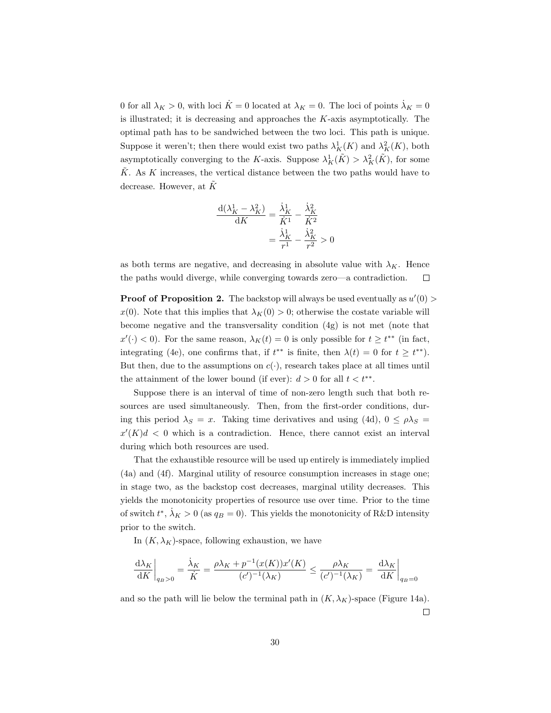0 for all  $\lambda_K > 0$ , with loci  $\dot{K} = 0$  located at  $\lambda_K = 0$ . The loci of points  $\dot{\lambda}_K = 0$ is illustrated; it is decreasing and approaches the  $K$ -axis asymptotically. The optimal path has to be sandwiched between the two loci. This path is unique. Suppose it weren't; then there would exist two paths  $\lambda_K^1(K)$  and  $\lambda_K^2(K)$ , both asymptotically converging to the K-axis. Suppose  $\lambda_K^1(\tilde{K}) > \lambda_K^2(\tilde{K})$ , for some  $\tilde{K}$ . As K increases, the vertical distance between the two paths would have to decrease. However, at  $\tilde{K}$ 

$$
\frac{\mathrm{d}(\lambda_K^1 - \lambda_K^2)}{\mathrm{d}K} = \frac{\dot{\lambda}_K^1}{\dot{K}^1} - \frac{\dot{\lambda}_K^2}{\dot{K}^2}
$$

$$
= \frac{\dot{\lambda}_K^1}{r^1} - \frac{\dot{\lambda}_K^2}{r^2} > 0
$$

as both terms are negative, and decreasing in absolute value with  $\lambda_K$ . Hence the paths would diverge, while converging towards zero—a contradiction.  $\Box$ 

**Proof of Proposition 2.** The backstop will always be used eventually as  $u'(0)$  $x(0)$ . Note that this implies that  $\lambda_K(0) > 0$ ; otherwise the costate variable will become negative and the transversality condition (4g) is not met (note that  $x'(\cdot) < 0$ ). For the same reason,  $\lambda_K(t) = 0$  is only possible for  $t \geq t^{**}$  (in fact, integrating (4e), one confirms that, if  $t^{**}$  is finite, then  $\lambda(t) = 0$  for  $t \geq t^{**}$ ). But then, due to the assumptions on  $c(\cdot)$ , research takes place at all times until the attainment of the lower bound (if ever):  $d > 0$  for all  $t < t^{**}$ .

Suppose there is an interval of time of non-zero length such that both resources are used simultaneously. Then, from the first-order conditions, during this period  $\lambda_S = x$ . Taking time derivatives and using (4d),  $0 \le \rho \lambda_S =$  $x'(K)d < 0$  which is a contradiction. Hence, there cannot exist an interval during which both resources are used.

That the exhaustible resource will be used up entirely is immediately implied (4a) and (4f). Marginal utility of resource consumption increases in stage one; in stage two, as the backstop cost decreases, marginal utility decreases. This yields the monotonicity properties of resource use over time. Prior to the time of switch  $t^*, \dot{\lambda}_K > 0$  (as  $q_B = 0$ ). This yields the monotonicity of R&D intensity prior to the switch.

In  $(K, \lambda_K)$ -space, following exhaustion, we have

$$
\left.\frac{{\rm d}\lambda_K}{{\rm d} K}\right|_{q_B>0}=\frac{\dot\lambda_K}{\dot K}=\frac{\rho\lambda_K+p^{-1}(x(K))x'(K)}{(c')^{-1}(\lambda_K)}\le\frac{\rho\lambda_K}{(c')^{-1}(\lambda_K)}=\left.\frac{{\rm d}\lambda_K}{{\rm d} K}\right|_{q_B=0}
$$

and so the path will lie below the terminal path in  $(K, \lambda_K)$ -space (Figure 14a).  $\Box$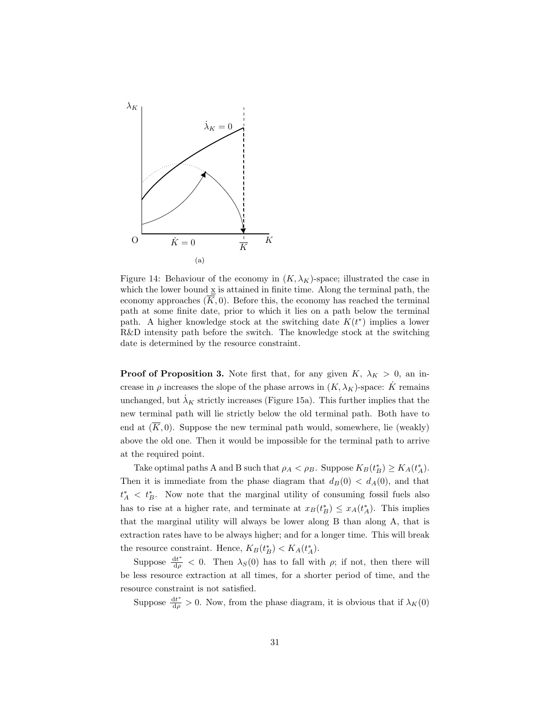

Figure 14: Behaviour of the economy in  $(K, \lambda_K)$ -space; illustrated the case in which the lower bound  $\underline{x}$  is attained in finite time. Along the terminal path, the economy approaches  $(\overline{K}, 0)$ . Before this, the economy has reached the terminal path at some finite date, prior to which it lies on a path below the terminal path. A higher knowledge stock at the switching date  $K(t^*)$  implies a lower R&D intensity path before the switch. The knowledge stock at the switching date is determined by the resource constraint.

**Proof of Proposition 3.** Note first that, for any given  $K$ ,  $\lambda_K > 0$ , an increase in  $\rho$  increases the slope of the phase arrows in  $(K, \lambda_K)$ -space: K remains unchanged, but  $\lambda_K$  strictly increases (Figure 15a). This further implies that the new terminal path will lie strictly below the old terminal path. Both have to end at  $(\overline{K}, 0)$ . Suppose the new terminal path would, somewhere, lie (weakly) above the old one. Then it would be impossible for the terminal path to arrive at the required point.

Take optimal paths A and B such that  $\rho_A < \rho_B$ . Suppose  $K_B(t_B^*) \ge K_A(t_A^*)$ . Then it is immediate from the phase diagram that  $d_B(0) < d_A(0)$ , and that  $t_A^*$  <  $t_B^*$ . Now note that the marginal utility of consuming fossil fuels also has to rise at a higher rate, and terminate at  $x_B(t_B^*) \leq x_A(t_A^*)$ . This implies that the marginal utility will always be lower along B than along A, that is extraction rates have to be always higher; and for a longer time. This will break the resource constraint. Hence,  $K_B(t_B^*) < K_A(t_A^*)$ .

Suppose  $\frac{dt^*}{d\rho} < 0$ . Then  $\lambda_S(0)$  has to fall with  $\rho$ ; if not, then there will be less resource extraction at all times, for a shorter period of time, and the resource constraint is not satisfied.

Suppose  $\frac{dt^*}{d\rho} > 0$ . Now, from the phase diagram, it is obvious that if  $\lambda_K(0)$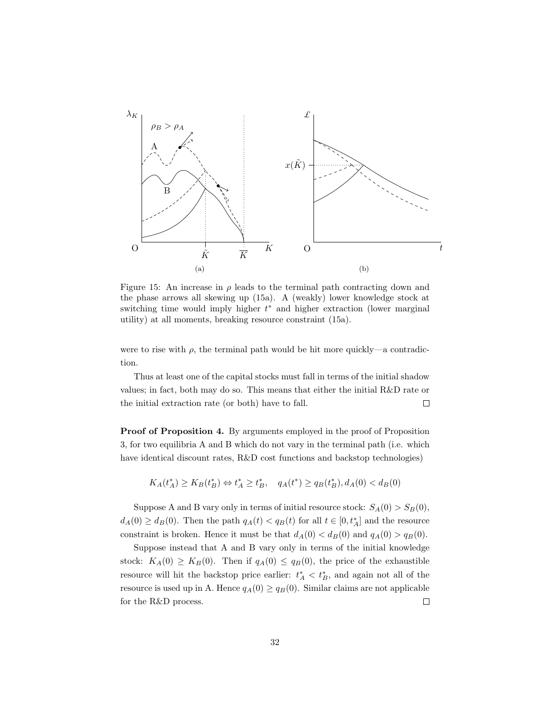

Figure 15: An increase in  $\rho$  leads to the terminal path contracting down and the phase arrows all skewing up (15a). A (weakly) lower knowledge stock at switching time would imply higher  $t^*$  and higher extraction (lower marginal utility) at all moments, breaking resource constraint (15a).

were to rise with  $\rho$ , the terminal path would be hit more quickly—a contradiction.

Thus at least one of the capital stocks must fall in terms of the initial shadow values; in fact, both may do so. This means that either the initial R&D rate or the initial extraction rate (or both) have to fall.  $\Box$ 

Proof of Proposition 4. By arguments employed in the proof of Proposition 3, for two equilibria A and B which do not vary in the terminal path (i.e. which have identical discount rates, R&D cost functions and backstop technologies)

$$
K_A(t_A^*) \ge K_B(t_B^*) \Leftrightarrow t_A^* \ge t_B^*, \quad q_A(t^*) \ge q_B(t_B^*), d_A(0) < d_B(0)
$$

Suppose A and B vary only in terms of initial resource stock:  $S_A(0) > S_B(0)$ ,  $d_A(0) \geq d_B(0)$ . Then the path  $q_A(t) < q_B(t)$  for all  $t \in [0, t_A^*]$  and the resource constraint is broken. Hence it must be that  $d_A(0) < d_B(0)$  and  $q_A(0) > q_B(0)$ .

Suppose instead that A and B vary only in terms of the initial knowledge stock:  $K_A(0) \geq K_B(0)$ . Then if  $q_A(0) \leq q_B(0)$ , the price of the exhaustible resource will hit the backstop price earlier:  $t_A^* < t_B^*$ , and again not all of the resource is used up in A. Hence  $q_A(0) \geq q_B(0)$ . Similar claims are not applicable for the R&D process.  $\Box$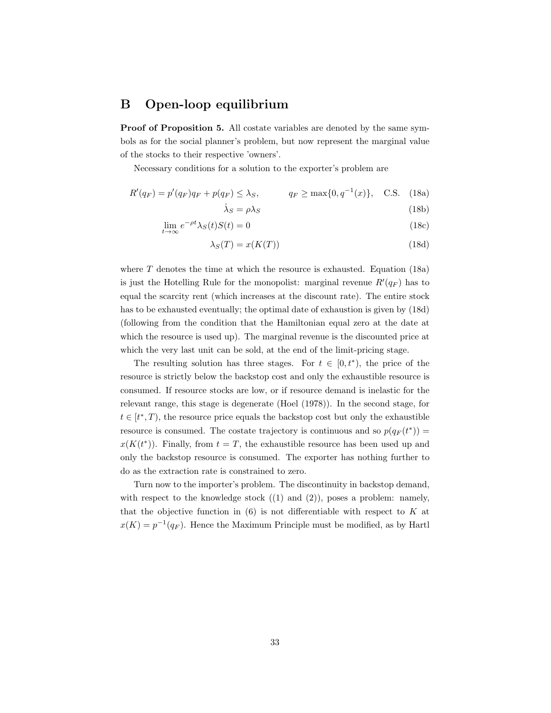#### B Open-loop equilibrium

Proof of Proposition 5. All costate variables are denoted by the same symbols as for the social planner's problem, but now represent the marginal value of the stocks to their respective 'owners'.

Necessary conditions for a solution to the exporter's problem are

$$
R'(q_F) = p'(q_F)q_F + p(q_F) \le \lambda_S, \qquad q_F \ge \max\{0, q^{-1}(x)\}, \quad C.S. \quad (18a)
$$

$$
\dot{\lambda}_S = \rho \lambda_S \tag{18b}
$$

$$
\lim_{t \to \infty} e^{-\rho t} \lambda_S(t) S(t) = 0 \tag{18c}
$$

$$
\lambda_S(T) = x(K(T))\tag{18d}
$$

where  $T$  denotes the time at which the resource is exhausted. Equation (18a) is just the Hotelling Rule for the monopolist: marginal revenue  $R'(q_F)$  has to equal the scarcity rent (which increases at the discount rate). The entire stock has to be exhausted eventually; the optimal date of exhaustion is given by (18d) (following from the condition that the Hamiltonian equal zero at the date at which the resource is used up). The marginal revenue is the discounted price at which the very last unit can be sold, at the end of the limit-pricing stage.

The resulting solution has three stages. For  $t \in [0, t^*),$  the price of the resource is strictly below the backstop cost and only the exhaustible resource is consumed. If resource stocks are low, or if resource demand is inelastic for the relevant range, this stage is degenerate (Hoel (1978)). In the second stage, for  $t \in [t^*, T)$ , the resource price equals the backstop cost but only the exhaustible resource is consumed. The costate trajectory is continuous and so  $p(q_F(t^*))$  =  $x(K(t^*))$ . Finally, from  $t = T$ , the exhaustible resource has been used up and only the backstop resource is consumed. The exporter has nothing further to do as the extraction rate is constrained to zero.

Turn now to the importer's problem. The discontinuity in backstop demand, with respect to the knowledge stock  $((1)$  and  $(2))$ , poses a problem: namely, that the objective function in  $(6)$  is not differentiable with respect to K at  $x(K) = p^{-1}(q_F)$ . Hence the Maximum Principle must be modified, as by Hartl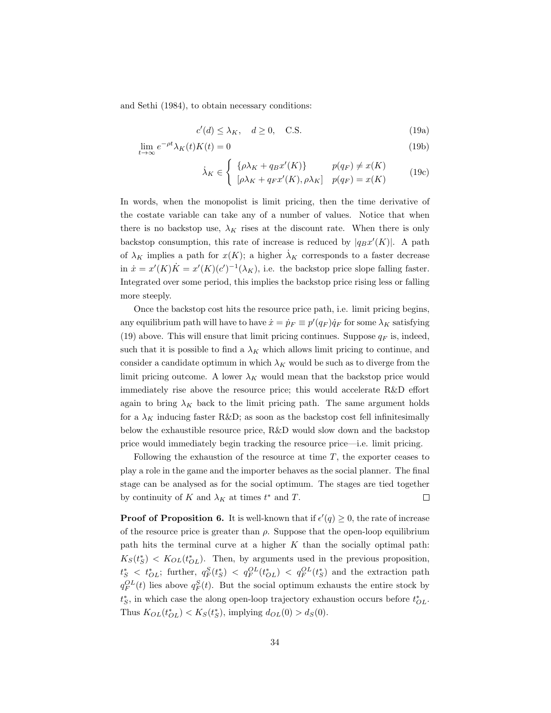and Sethi (1984), to obtain necessary conditions:

$$
c'(d) \le \lambda_K, \quad d \ge 0, \quad \text{C.S.} \tag{19a}
$$

$$
\lim_{t \to \infty} e^{-\rho t} \lambda_K(t) K(t) = 0 \tag{19b}
$$

$$
\dot{\lambda}_K \in \begin{cases}\n\{\rho \lambda_K + q_B x'(K)\} & p(q_F) \neq x(K) \\
[\rho \lambda_K + q_F x'(K), \rho \lambda_K] & p(q_F) = x(K)\n\end{cases}
$$
\n(19c)

In words, when the monopolist is limit pricing, then the time derivative of the costate variable can take any of a number of values. Notice that when there is no backstop use,  $\lambda_K$  rises at the discount rate. When there is only backstop consumption, this rate of increase is reduced by  $|q_Bx'(K)|$ . A path of  $\lambda_K$  implies a path for  $x(K)$ ; a higher  $\lambda_K$  corresponds to a faster decrease in  $\dot{x} = x'(K)\dot{K} = x'(K)(c')^{-1}(\lambda_K)$ , i.e. the backstop price slope falling faster. Integrated over some period, this implies the backstop price rising less or falling more steeply.

Once the backstop cost hits the resource price path, i.e. limit pricing begins, any equilibrium path will have to have  $\dot{x} = \dot{p}_F \equiv p'(q_F) \dot{q}_F$  for some  $\lambda_K$  satisfying (19) above. This will ensure that limit pricing continues. Suppose  $q_F$  is, indeed, such that it is possible to find a  $\lambda_K$  which allows limit pricing to continue, and consider a candidate optimum in which  $\lambda_K$  would be such as to diverge from the limit pricing outcome. A lower  $\lambda_K$  would mean that the backstop price would immediately rise above the resource price; this would accelerate R&D effort again to bring  $\lambda_K$  back to the limit pricing path. The same argument holds for a  $\lambda_K$  inducing faster R&D; as soon as the backstop cost fell infinitesimally below the exhaustible resource price, R&D would slow down and the backstop price would immediately begin tracking the resource price—i.e. limit pricing.

Following the exhaustion of the resource at time T, the exporter ceases to play a role in the game and the importer behaves as the social planner. The final stage can be analysed as for the social optimum. The stages are tied together by continuity of K and  $\lambda_K$  at times  $t^*$  and T.  $\Box$ 

**Proof of Proposition 6.** It is well-known that if  $\epsilon'(q) \geq 0$ , the rate of increase of the resource price is greater than  $\rho$ . Suppose that the open-loop equilibrium path hits the terminal curve at a higher  $K$  than the socially optimal path:  $K_S(t^*)$  <  $K_{OL}(t^*_{OL})$ . Then, by arguments used in the previous proposition,  $t_S^* \lt t_{OL}^*$ ; further,  $q_F^S(t_S^*) \lt q_F^{OL}(t_{OL}^*) \lt q_F^{OL}(t_S^*)$  and the extraction path  $q_F^{OL}(t)$  lies above  $q_F^S(t)$ . But the social optimum exhausts the entire stock by  $t_S^*$ , in which case the along open-loop trajectory exhaustion occurs before  $t_{OL}^*$ . Thus  $K_{OL}(t_{OL}^*) < K_S(t_S^*)$ , implying  $d_{OL}(0) > d_S(0)$ .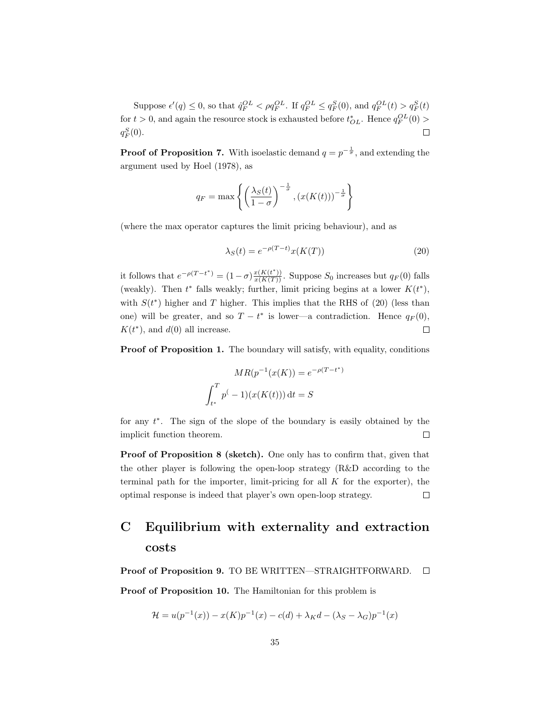Suppose  $\epsilon'(q) \leq 0$ , so that  $\dot{q}_F^{OL} < \rho q_F^{OL}$ . If  $q_F^{OL} \leq q_F^S(0)$ , and  $q_F^{OL}(t) > q_F^S(t)$ for  $t > 0$ , and again the resource stock is exhausted before  $t_{OL}^*$ . Hence  $q_F^{OL}(0) >$  $q_F^S(0)$ .  $\Box$ 

**Proof of Proposition 7.** With isoelastic demand  $q = p^{-\frac{1}{\sigma}}$ , and extending the argument used by Hoel (1978), as

$$
q_F = \max\left\{ \left( \frac{\lambda_S(t)}{1-\sigma} \right)^{-\frac{1}{\sigma}}, \left( x(K(t)) \right)^{-\frac{1}{\sigma}} \right\}
$$

(where the max operator captures the limit pricing behaviour), and as

$$
\lambda_S(t) = e^{-\rho(T-t)}x(K(T))\tag{20}
$$

it follows that  $e^{-\rho(T-t^*)} = (1-\sigma) \frac{x(K(t^*))}{x(K(T))}$ . Suppose  $S_0$  increases but  $q_F(0)$  falls (weakly). Then  $t^*$  falls weakly; further, limit pricing begins at a lower  $K(t^*)$ , with  $S(t^*)$  higher and T higher. This implies that the RHS of (20) (less than one) will be greater, and so  $T - t^*$  is lower—a contradiction. Hence  $q_F(0)$ ,  $K(t^*)$ , and  $d(0)$  all increase.  $\Box$ 

**Proof of Proposition 1.** The boundary will satisfy, with equality, conditions

$$
MR(p^{-1}(x(K)) = e^{-\rho(T - t^*)}
$$

$$
\int_{t^*}^T p(-1)(x(K(t))) dt = S
$$

for any  $t^*$ . The sign of the slope of the boundary is easily obtained by the implicit function theorem.  $\Box$ 

Proof of Proposition 8 (sketch). One only has to confirm that, given that the other player is following the open-loop strategy (R&D according to the terminal path for the importer, limit-pricing for all  $K$  for the exporter), the optimal response is indeed that player's own open-loop strategy.  $\Box$ 

## C Equilibrium with externality and extraction costs

Proof of Proposition 9. TO BE WRITTEN—STRAIGHTFORWARD. □

Proof of Proposition 10. The Hamiltonian for this problem is

$$
\mathcal{H} = u(p^{-1}(x)) - x(K)p^{-1}(x) - c(d) + \lambda_K d - (\lambda_S - \lambda_G)p^{-1}(x)
$$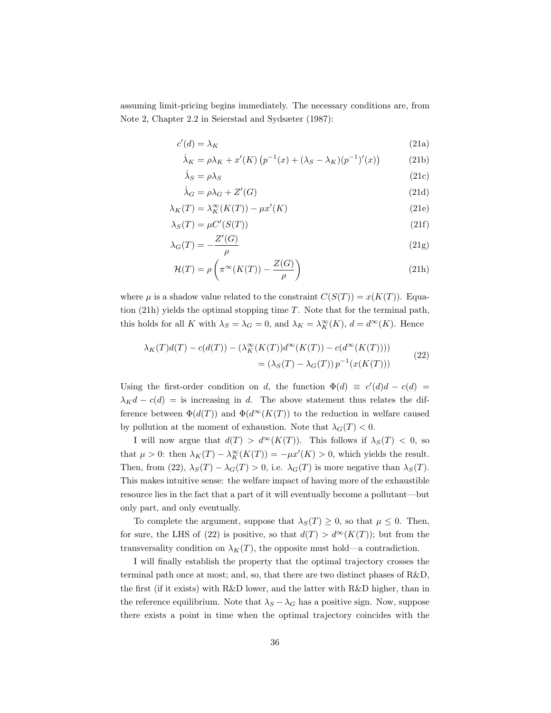assuming limit-pricing begins immediately. The necessary conditions are, from Note 2, Chapter 2.2 in Seierstad and Sydsæter (1987):

$$
c'(d) = \lambda_K \tag{21a}
$$

$$
\dot{\lambda}_K = \rho \lambda_K + x'(K) \left( p^{-1}(x) + (\lambda_S - \lambda_K)(p^{-1})'(x) \right)
$$
 (21b)

$$
\lambda_S = \rho \lambda_S \tag{21c}
$$

$$
\dot{\lambda}_G = \rho \lambda_G + Z'(G) \tag{21d}
$$

$$
\lambda_K(T) = \lambda_K^{\infty}(K(T)) - \mu x'(K)
$$
\n(21e)

$$
\lambda_S(T) = \mu C'(S(T)) \tag{21f}
$$

$$
\lambda_G(T) = -\frac{Z'(G)}{\rho} \tag{21g}
$$

$$
\mathcal{H}(T) = \rho \left( \pi^{\infty}(K(T)) - \frac{Z(G)}{\rho} \right)
$$
\n(21h)

where  $\mu$  is a shadow value related to the constraint  $C(S(T)) = x(K(T))$ . Equation (21h) yields the optimal stopping time T. Note that for the terminal path, this holds for all K with  $\lambda_S = \lambda_G = 0$ , and  $\lambda_K = \lambda_K^{\infty}(K)$ ,  $d = d^{\infty}(K)$ . Hence

$$
\lambda_K(T)d(T) - c(d(T)) - (\lambda_K^{\infty}(K(T))d^{\infty}(K(T)) - c(d^{\infty}(K(T))))
$$
  
= 
$$
(\lambda_S(T) - \lambda_G(T))p^{-1}(x(K(T)))
$$
 (22)

Using the first-order condition on d, the function  $\Phi(d) \equiv c'(d)d - c(d)$  $\lambda_K d - c(d) =$  is increasing in d. The above statement thus relates the difference between  $\Phi(d(T))$  and  $\Phi(d^{\infty}(K(T)))$  to the reduction in welfare caused by pollution at the moment of exhaustion. Note that  $\lambda_G(T) < 0$ .

I will now argue that  $d(T) > d^{\infty}(K(T))$ . This follows if  $\lambda_S(T) < 0$ , so that  $\mu > 0$ : then  $\lambda_K(T) - \lambda_K^{\infty}(K(T)) = -\mu x'(K) > 0$ , which yields the result. Then, from (22),  $\lambda_S(T) - \lambda_G(T) > 0$ , i.e.  $\lambda_G(T)$  is more negative than  $\lambda_S(T)$ . This makes intuitive sense: the welfare impact of having more of the exhaustible resource lies in the fact that a part of it will eventually become a pollutant—but only part, and only eventually.

To complete the argument, suppose that  $\lambda_S(T) \geq 0$ , so that  $\mu \leq 0$ . Then, for sure, the LHS of (22) is positive, so that  $d(T) > d^{\infty}(K(T))$ ; but from the transversality condition on  $\lambda_K(T)$ , the opposite must hold—a contradiction.

I will finally establish the property that the optimal trajectory crosses the terminal path once at most; and, so, that there are two distinct phases of R&D, the first (if it exists) with R&D lower, and the latter with R&D higher, than in the reference equilibrium. Note that  $\lambda_S - \lambda_G$  has a positive sign. Now, suppose there exists a point in time when the optimal trajectory coincides with the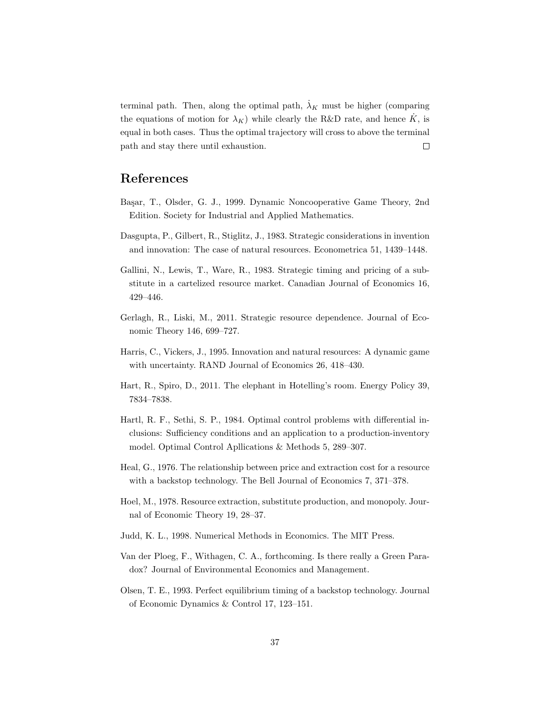terminal path. Then, along the optimal path,  $\lambda_K$  must be higher (comparing the equations of motion for  $\lambda_K$ ) while clearly the R&D rate, and hence  $\dot{K}$ , is equal in both cases. Thus the optimal trajectory will cross to above the terminal  $\Box$ path and stay there until exhaustion.

## References

- Ba¸sar, T., Olsder, G. J., 1999. Dynamic Noncooperative Game Theory, 2nd Edition. Society for Industrial and Applied Mathematics.
- Dasgupta, P., Gilbert, R., Stiglitz, J., 1983. Strategic considerations in invention and innovation: The case of natural resources. Econometrica 51, 1439–1448.
- Gallini, N., Lewis, T., Ware, R., 1983. Strategic timing and pricing of a substitute in a cartelized resource market. Canadian Journal of Economics 16, 429–446.
- Gerlagh, R., Liski, M., 2011. Strategic resource dependence. Journal of Economic Theory 146, 699–727.
- Harris, C., Vickers, J., 1995. Innovation and natural resources: A dynamic game with uncertainty. RAND Journal of Economics 26, 418–430.
- Hart, R., Spiro, D., 2011. The elephant in Hotelling's room. Energy Policy 39, 7834–7838.
- Hartl, R. F., Sethi, S. P., 1984. Optimal control problems with differential inclusions: Sufficiency conditions and an application to a production-inventory model. Optimal Control Apllications & Methods 5, 289–307.
- Heal, G., 1976. The relationship between price and extraction cost for a resource with a backstop technology. The Bell Journal of Economics 7, 371–378.
- Hoel, M., 1978. Resource extraction, substitute production, and monopoly. Journal of Economic Theory 19, 28–37.
- Judd, K. L., 1998. Numerical Methods in Economics. The MIT Press.
- Van der Ploeg, F., Withagen, C. A., forthcoming. Is there really a Green Paradox? Journal of Environmental Economics and Management.
- Olsen, T. E., 1993. Perfect equilibrium timing of a backstop technology. Journal of Economic Dynamics & Control 17, 123–151.